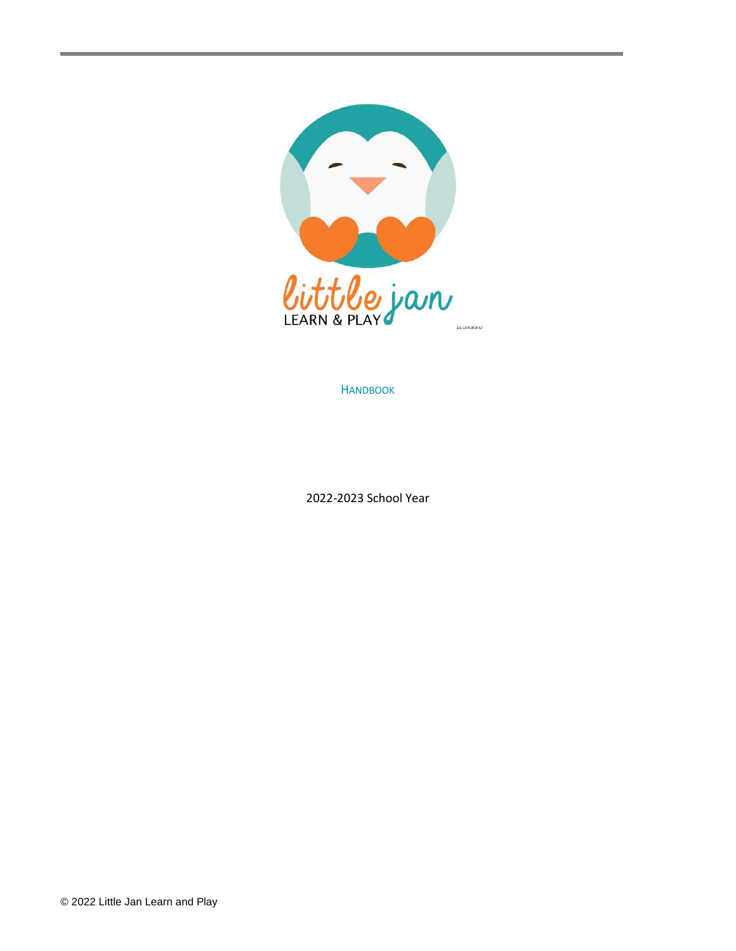

**HANDBOOK** 

2022-2023 School Year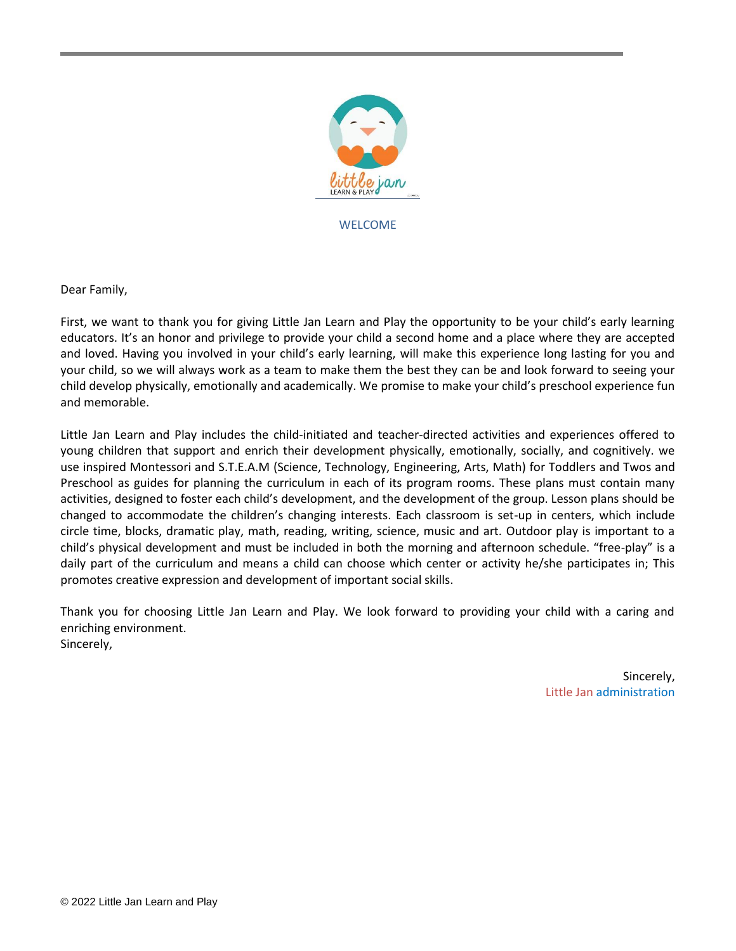

WELCOME

Dear Family,

First, we want to thank you for giving Little Jan Learn and Play the opportunity to be your child's early learning educators. It's an honor and privilege to provide your child a second home and a place where they are accepted and loved. Having you involved in your child's early learning, will make this experience long lasting for you and your child, so we will always work as a team to make them the best they can be and look forward to seeing your child develop physically, emotionally and academically. We promise to make your child's preschool experience fun and memorable.

Little Jan Learn and Play includes the child-initiated and teacher-directed activities and experiences offered to young children that support and enrich their development physically, emotionally, socially, and cognitively. we use inspired Montessori and S.T.E.A.M (Science, Technology, Engineering, Arts, Math) for Toddlers and Twos and Preschool as guides for planning the curriculum in each of its program rooms. These plans must contain many activities, designed to foster each child's development, and the development of the group. Lesson plans should be changed to accommodate the children's changing interests. Each classroom is set-up in centers, which include circle time, blocks, dramatic play, math, reading, writing, science, music and art. Outdoor play is important to a child's physical development and must be included in both the morning and afternoon schedule. "free-play" is a daily part of the curriculum and means a child can choose which center or activity he/she participates in; This promotes creative expression and development of important social skills.

Thank you for choosing Little Jan Learn and Play. We look forward to providing your child with a caring and enriching environment. Sincerely,

> Sincerely, Little Jan administration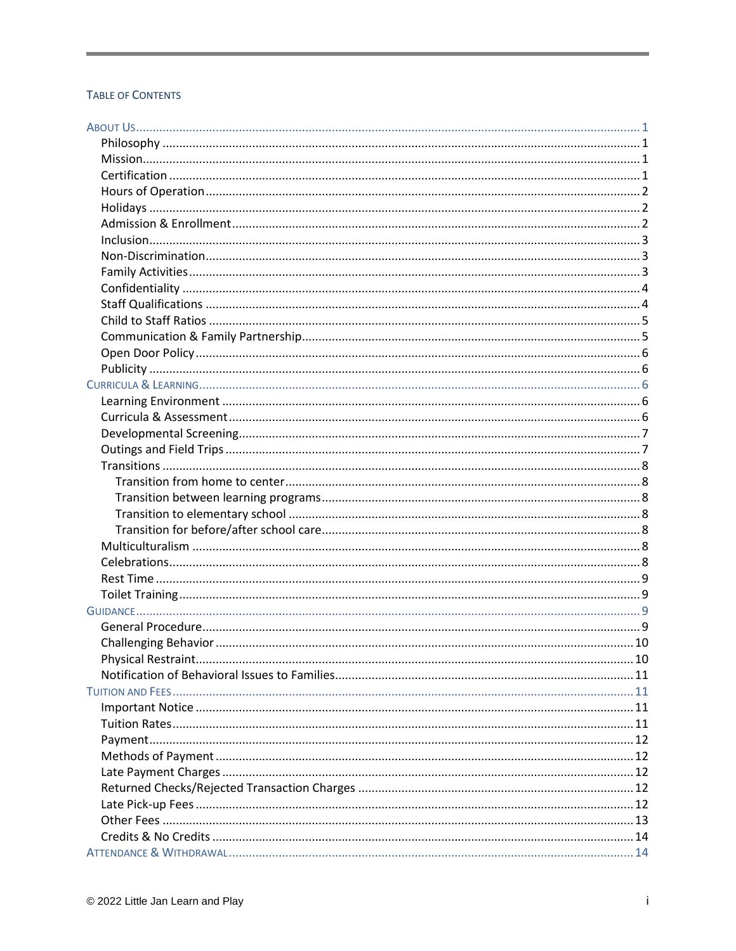# TABLE OF CONTENTS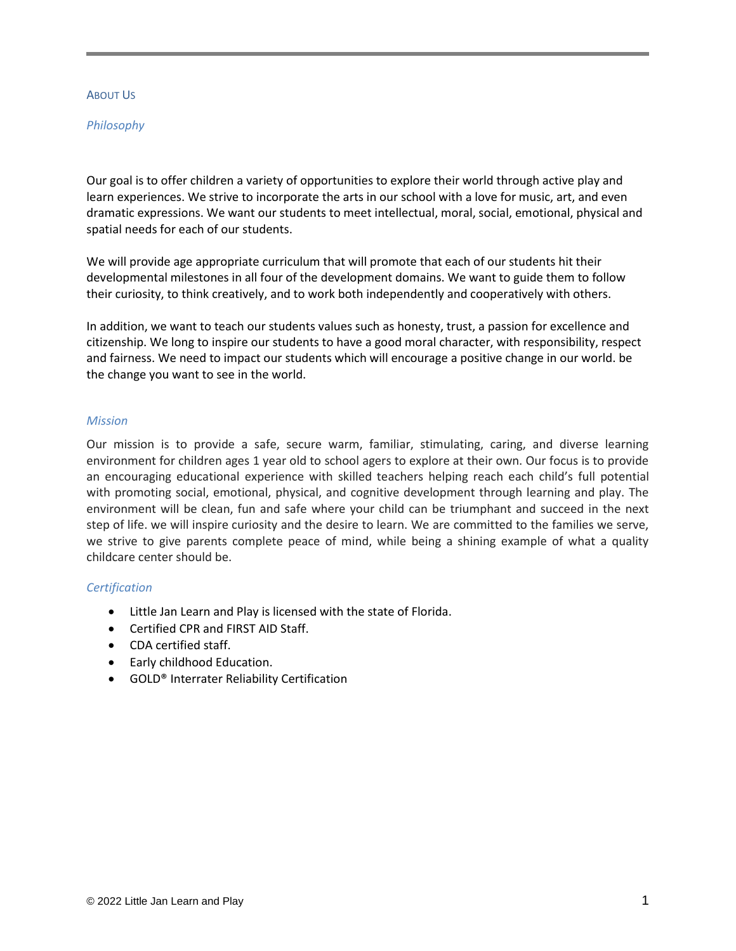#### ABOUT US

#### *Philosophy*

Our goal is to offer children a variety of opportunities to explore their world through active play and learn experiences. We strive to incorporate the arts in our school with a love for music, art, and even dramatic expressions. We want our students to meet intellectual, moral, social, emotional, physical and spatial needs for each of our students.

We will provide age appropriate curriculum that will promote that each of our students hit their developmental milestones in all four of the development domains. We want to guide them to follow their curiosity, to think creatively, and to work both independently and cooperatively with others.

In addition, we want to teach our students values such as honesty, trust, a passion for excellence and citizenship. We long to inspire our students to have a good moral character, with responsibility, respect and fairness. We need to impact our students which will encourage a positive change in our world. be the change you want to see in the world.

#### *Mission*

Our mission is to provide a safe, secure warm, familiar, stimulating, caring, and diverse learning environment for children ages 1 year old to school agers to explore at their own. Our focus is to provide an encouraging educational experience with skilled teachers helping reach each child's full potential with promoting social, emotional, physical, and cognitive development through learning and play. The environment will be clean, fun and safe where your child can be triumphant and succeed in the next step of life. we will inspire curiosity and the desire to learn. We are committed to the families we serve, we strive to give parents complete peace of mind, while being a shining example of what a quality childcare center should be.

# *Certification*

- Little Jan Learn and Play is licensed with the state of Florida.
- Certified CPR and FIRST AID Staff.
- CDA certified staff.
- Early childhood Education.
- GOLD® Interrater Reliability Certification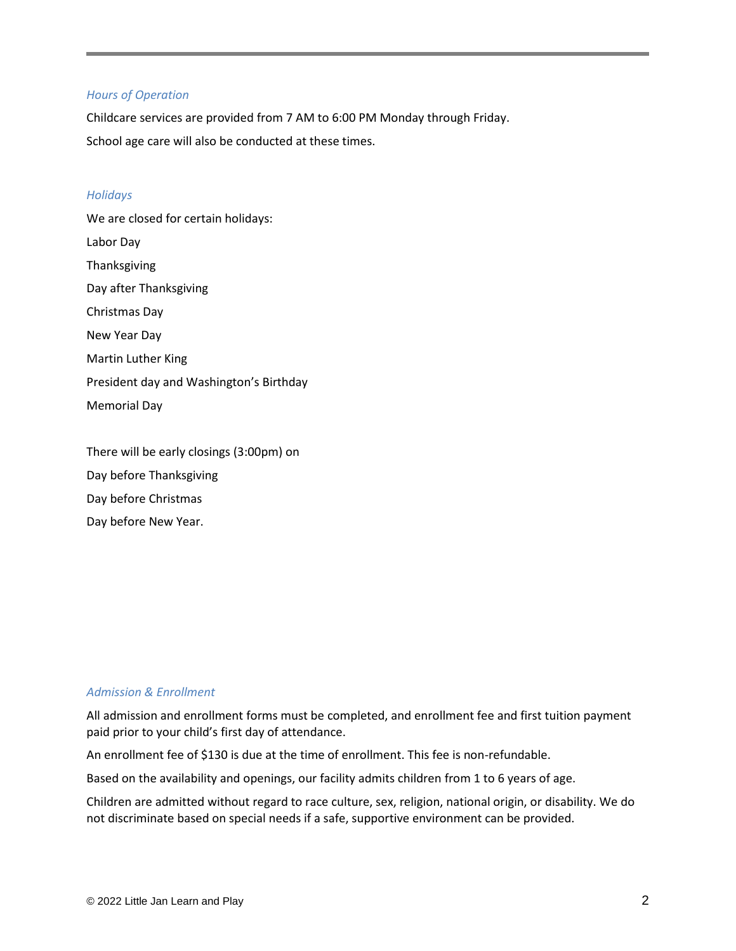#### *Hours of Operation*

Childcare services are provided from 7 AM to 6:00 PM Monday through Friday. School age care will also be conducted at these times.

#### *Holidays*

We are closed for certain holidays: Labor Day Thanksgiving Day after Thanksgiving Christmas Day New Year Day Martin Luther King President day and Washington's Birthday Memorial Day

There will be early closings (3:00pm) on Day before Thanksgiving Day before Christmas Day before New Year.

# *Admission & Enrollment*

All admission and enrollment forms must be completed, and enrollment fee and first tuition payment paid prior to your child's first day of attendance.

An enrollment fee of \$130 is due at the time of enrollment. This fee is non-refundable.

Based on the availability and openings, our facility admits children from 1 to 6 years of age.

Children are admitted without regard to race culture, sex, religion, national origin, or disability. We do not discriminate based on special needs if a safe, supportive environment can be provided.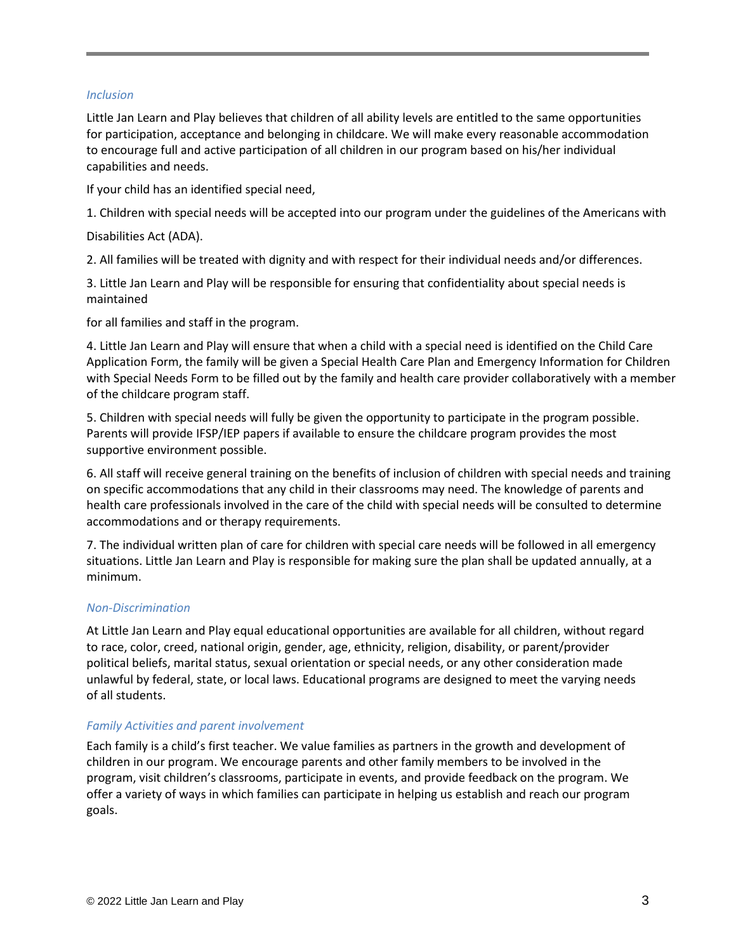# *Inclusion*

Little Jan Learn and Play believes that children of all ability levels are entitled to the same opportunities for participation, acceptance and belonging in childcare. We will make every reasonable accommodation to encourage full and active participation of all children in our program based on his/her individual capabilities and needs.

If your child has an identified special need,

1. Children with special needs will be accepted into our program under the guidelines of the Americans with

Disabilities Act (ADA).

2. All families will be treated with dignity and with respect for their individual needs and/or differences.

3. Little Jan Learn and Play will be responsible for ensuring that confidentiality about special needs is maintained

for all families and staff in the program.

4. Little Jan Learn and Play will ensure that when a child with a special need is identified on the Child Care Application Form, the family will be given a Special Health Care Plan and Emergency Information for Children with Special Needs Form to be filled out by the family and health care provider collaboratively with a member of the childcare program staff.

5. Children with special needs will fully be given the opportunity to participate in the program possible. Parents will provide IFSP/IEP papers if available to ensure the childcare program provides the most supportive environment possible.

6. All staff will receive general training on the benefits of inclusion of children with special needs and training on specific accommodations that any child in their classrooms may need. The knowledge of parents and health care professionals involved in the care of the child with special needs will be consulted to determine accommodations and or therapy requirements.

7. The individual written plan of care for children with special care needs will be followed in all emergency situations. Little Jan Learn and Play is responsible for making sure the plan shall be updated annually, at a minimum.

# *Non-Discrimination*

At Little Jan Learn and Play equal educational opportunities are available for all children, without regard to race, color, creed, national origin, gender, age, ethnicity, religion, disability, or parent/provider political beliefs, marital status, sexual orientation or special needs, or any other consideration made unlawful by federal, state, or local laws. Educational programs are designed to meet the varying needs of all students.

# *Family Activities and parent involvement*

Each family is a child's first teacher. We value families as partners in the growth and development of children in our program. We encourage parents and other family members to be involved in the program, visit children's classrooms, participate in events, and provide feedback on the program. We offer a variety of ways in which families can participate in helping us establish and reach our program goals.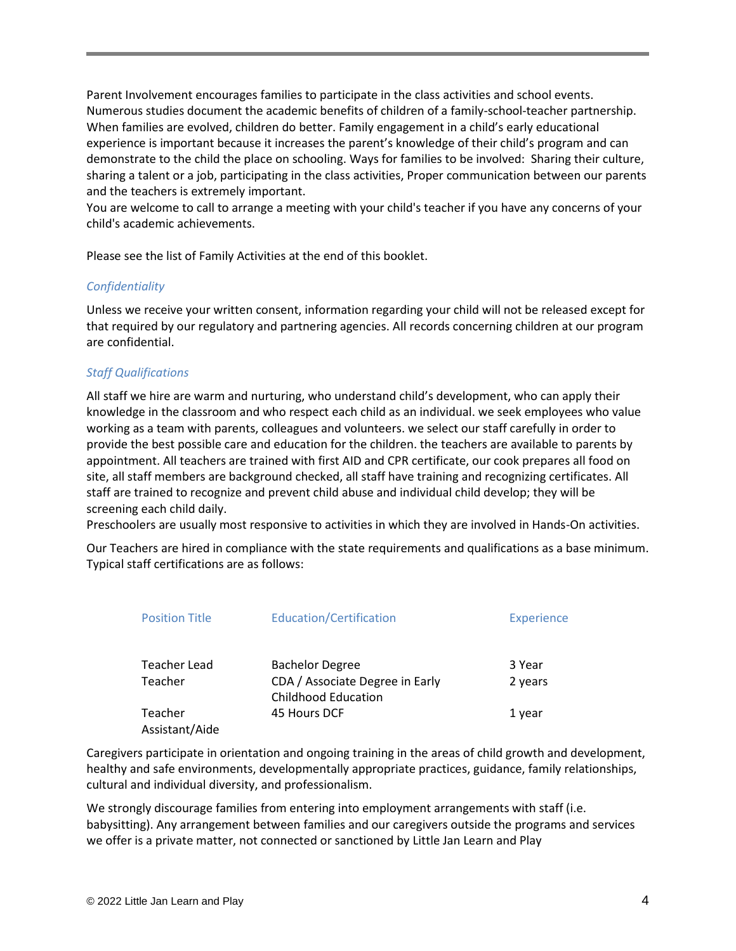Parent Involvement encourages families to participate in the class activities and school events. Numerous studies document the academic benefits of children of a family-school-teacher partnership. When families are evolved, children do better. Family engagement in a child's early educational experience is important because it increases the parent's knowledge of their child's program and can demonstrate to the child the place on schooling. Ways for families to be involved: Sharing their culture, sharing a talent or a job, participating in the class activities, Proper communication between our parents and the teachers is extremely important.

You are welcome to call to arrange a meeting with your child's teacher if you have any concerns of your child's academic achievements.

Please see the list of Family Activities at the end of this booklet.

# *Confidentiality*

Unless we receive your written consent, information regarding your child will not be released except for that required by our regulatory and partnering agencies. All records concerning children at our program are confidential.

# *Staff Qualifications*

All staff we hire are warm and nurturing, who understand child's development, who can apply their knowledge in the classroom and who respect each child as an individual. we seek employees who value working as a team with parents, colleagues and volunteers. we select our staff carefully in order to provide the best possible care and education for the children. the teachers are available to parents by appointment. All teachers are trained with first AID and CPR certificate, our cook prepares all food on site, all staff members are background checked, all staff have training and recognizing certificates. All staff are trained to recognize and prevent child abuse and individual child develop; they will be screening each child daily.

Preschoolers are usually most responsive to activities in which they are involved in Hands-On activities.

Our Teachers are hired in compliance with the state requirements and qualifications as a base minimum. Typical staff certifications are as follows:

| <b>Position Title</b>     | <b>Education/Certification</b>                                | <b>Experience</b> |
|---------------------------|---------------------------------------------------------------|-------------------|
| <b>Teacher Lead</b>       | <b>Bachelor Degree</b>                                        | 3 Year            |
| Teacher                   | CDA / Associate Degree in Early<br><b>Childhood Education</b> | 2 years           |
| Teacher<br>Assistant/Aide | 45 Hours DCF                                                  | 1 year            |

Caregivers participate in orientation and ongoing training in the areas of child growth and development, healthy and safe environments, developmentally appropriate practices, guidance, family relationships, cultural and individual diversity, and professionalism.

We strongly discourage families from entering into employment arrangements with staff (i.e. babysitting). Any arrangement between families and our caregivers outside the programs and services we offer is a private matter, not connected or sanctioned by Little Jan Learn and Play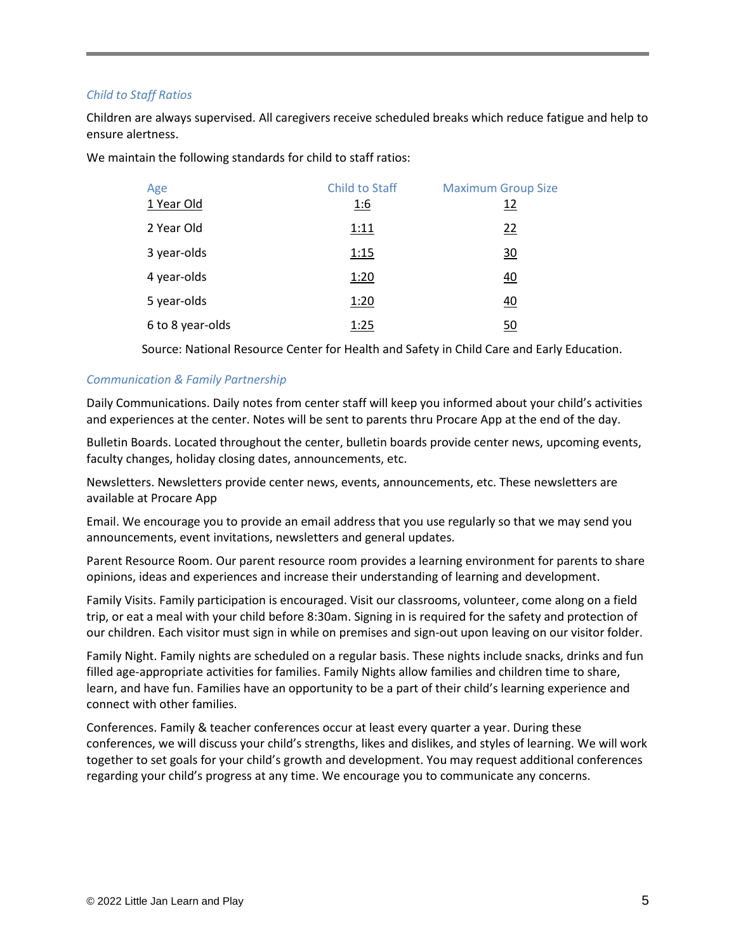# *Child to Staff Ratios*

Children are always supervised. All caregivers receive scheduled breaks which reduce fatigue and help to ensure alertness.

We maintain the following standards for child to staff ratios:

| Age              | Child to Staff | <b>Maximum Group Size</b> |
|------------------|----------------|---------------------------|
| 1 Year Old       | 1:6            | 12                        |
| 2 Year Old       | 1:11           | 22                        |
| 3 year-olds      | 1:15           | $\overline{30}$           |
| 4 year-olds      | 1:20           | 40                        |
| 5 year-olds      | 1:20           | 40                        |
| 6 to 8 year-olds | 1:25           | 50                        |

Source: National Resource Center for Health and Safety in Child Care and Early Education.

# *Communication & Family Partnership*

Daily Communications. Daily notes from center staff will keep you informed about your child's activities and experiences at the center. Notes will be sent to parents thru Procare App at the end of the day.

Bulletin Boards. Located throughout the center, bulletin boards provide center news, upcoming events, faculty changes, holiday closing dates, announcements, etc.

Newsletters. Newsletters provide center news, events, announcements, etc. These newsletters are available at Procare App

Email. We encourage you to provide an email address that you use regularly so that we may send you announcements, event invitations, newsletters and general updates.

Parent Resource Room. Our parent resource room provides a learning environment for parents to share opinions, ideas and experiences and increase their understanding of learning and development.

Family Visits. Family participation is encouraged. Visit our classrooms, volunteer, come along on a field trip, or eat a meal with your child before 8:30am. Signing in is required for the safety and protection of our children. Each visitor must sign in while on premises and sign-out upon leaving on our visitor folder.

Family Night. Family nights are scheduled on a regular basis. These nights include snacks, drinks and fun filled age-appropriate activities for families. Family Nights allow families and children time to share, learn, and have fun. Families have an opportunity to be a part of their child's learning experience and connect with other families.

Conferences. Family & teacher conferences occur at least every quarter a year. During these conferences, we will discuss your child's strengths, likes and dislikes, and styles of learning. We will work together to set goals for your child's growth and development. You may request additional conferences regarding your child's progress at any time. We encourage you to communicate any concerns.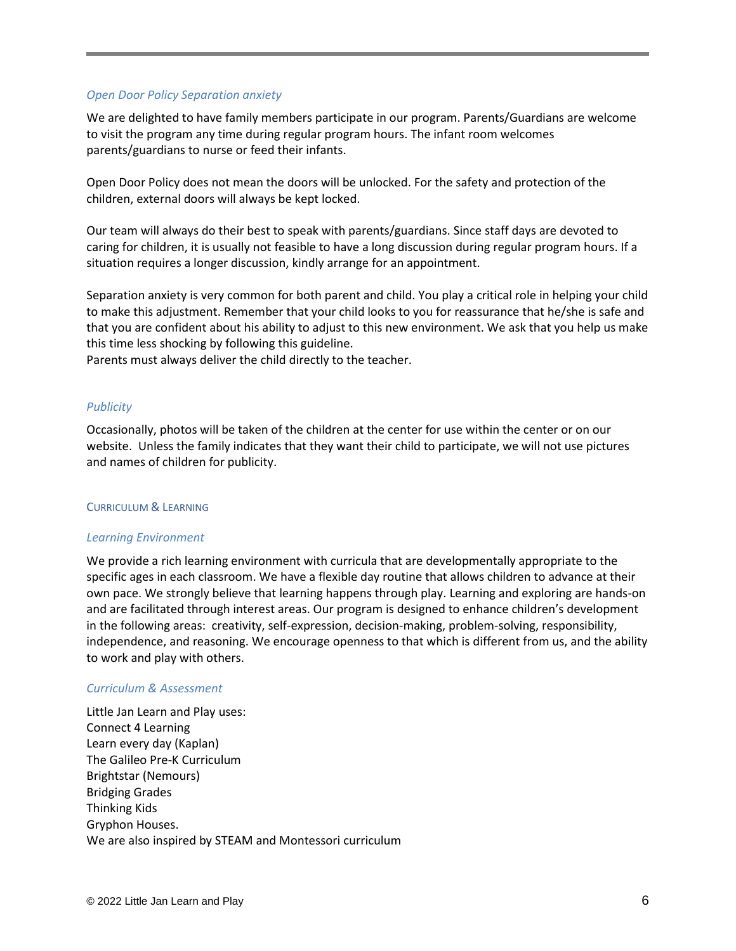#### *Open Door Policy Separation anxiety*

We are delighted to have family members participate in our program. Parents/Guardians are welcome to visit the program any time during regular program hours. The infant room welcomes parents/guardians to nurse or feed their infants.

Open Door Policy does not mean the doors will be unlocked. For the safety and protection of the children, external doors will always be kept locked.

Our team will always do their best to speak with parents/guardians. Since staff days are devoted to caring for children, it is usually not feasible to have a long discussion during regular program hours. If a situation requires a longer discussion, kindly arrange for an appointment.

Separation anxiety is very common for both parent and child. You play a critical role in helping your child to make this adjustment. Remember that your child looks to you for reassurance that he/she is safe and that you are confident about his ability to adjust to this new environment. We ask that you help us make this time less shocking by following this guideline.

Parents must always deliver the child directly to the teacher.

#### *Publicity*

Occasionally, photos will be taken of the children at the center for use within the center or on our website. Unless the family indicates that they want their child to participate, we will not use pictures and names of children for publicity.

#### CURRICULUM & LEARNING

# *Learning Environment*

We provide a rich learning environment with curricula that are developmentally appropriate to the specific ages in each classroom. We have a flexible day routine that allows children to advance at their own pace. We strongly believe that learning happens through play. Learning and exploring are hands-on and are facilitated through interest areas. Our program is designed to enhance children's development in the following areas: creativity, self-expression, decision-making, problem-solving, responsibility, independence, and reasoning. We encourage openness to that which is different from us, and the ability to work and play with others.

#### *Curriculum & Assessment*

Little Jan Learn and Play uses: Connect 4 Learning Learn every day (Kaplan) The Galileo Pre-K Curriculum Brightstar (Nemours) Bridging Grades Thinking Kids Gryphon Houses. We are also inspired by STEAM and Montessori curriculum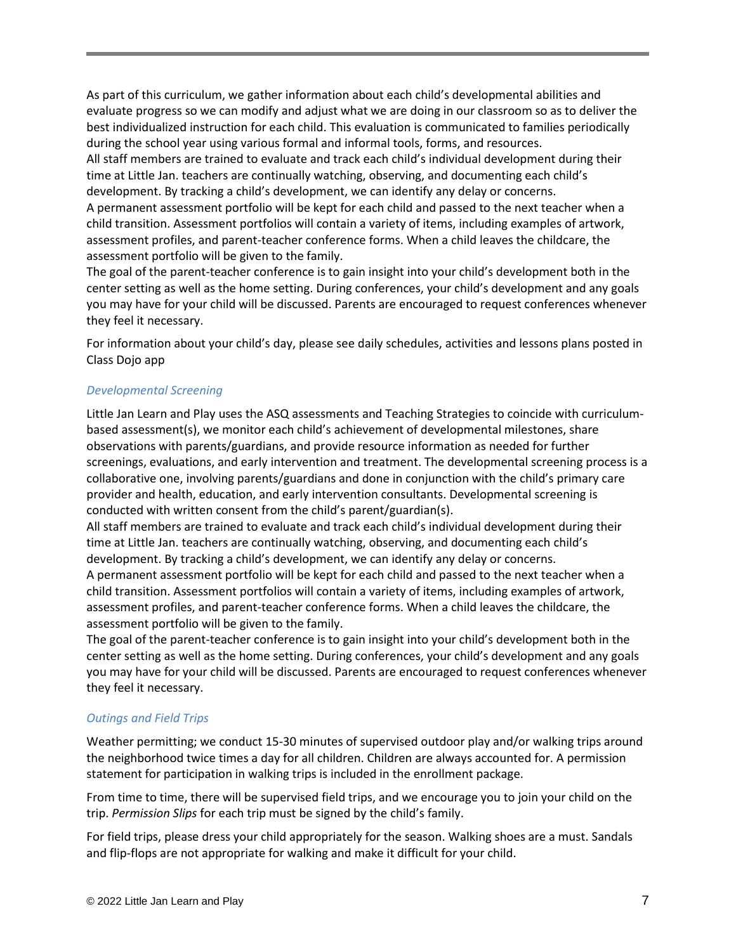As part of this curriculum, we gather information about each child's developmental abilities and evaluate progress so we can modify and adjust what we are doing in our classroom so as to deliver the best individualized instruction for each child. This evaluation is communicated to families periodically during the school year using various formal and informal tools, forms, and resources.

All staff members are trained to evaluate and track each child's individual development during their time at Little Jan. teachers are continually watching, observing, and documenting each child's development. By tracking a child's development, we can identify any delay or concerns.

A permanent assessment portfolio will be kept for each child and passed to the next teacher when a child transition. Assessment portfolios will contain a variety of items, including examples of artwork, assessment profiles, and parent-teacher conference forms. When a child leaves the childcare, the assessment portfolio will be given to the family.

The goal of the parent-teacher conference is to gain insight into your child's development both in the center setting as well as the home setting. During conferences, your child's development and any goals you may have for your child will be discussed. Parents are encouraged to request conferences whenever they feel it necessary.

For information about your child's day, please see daily schedules, activities and lessons plans posted in Class Dojo app

# *Developmental Screening*

Little Jan Learn and Play uses the ASQ assessments and Teaching Strategies to coincide with curriculumbased assessment(s), we monitor each child's achievement of developmental milestones, share observations with parents/guardians, and provide resource information as needed for further screenings, evaluations, and early intervention and treatment. The developmental screening process is a collaborative one, involving parents/guardians and done in conjunction with the child's primary care provider and health, education, and early intervention consultants. Developmental screening is conducted with written consent from the child's parent/guardian(s).

All staff members are trained to evaluate and track each child's individual development during their time at Little Jan. teachers are continually watching, observing, and documenting each child's development. By tracking a child's development, we can identify any delay or concerns.

A permanent assessment portfolio will be kept for each child and passed to the next teacher when a child transition. Assessment portfolios will contain a variety of items, including examples of artwork, assessment profiles, and parent-teacher conference forms. When a child leaves the childcare, the assessment portfolio will be given to the family.

The goal of the parent-teacher conference is to gain insight into your child's development both in the center setting as well as the home setting. During conferences, your child's development and any goals you may have for your child will be discussed. Parents are encouraged to request conferences whenever they feel it necessary.

#### *Outings and Field Trips*

Weather permitting; we conduct 15-30 minutes of supervised outdoor play and/or walking trips around the neighborhood twice times a day for all children. Children are always accounted for. A permission statement for participation in walking trips is included in the enrollment package.

From time to time, there will be supervised field trips, and we encourage you to join your child on the trip. *Permission Slips* for each trip must be signed by the child's family.

For field trips, please dress your child appropriately for the season. Walking shoes are a must. Sandals and flip-flops are not appropriate for walking and make it difficult for your child.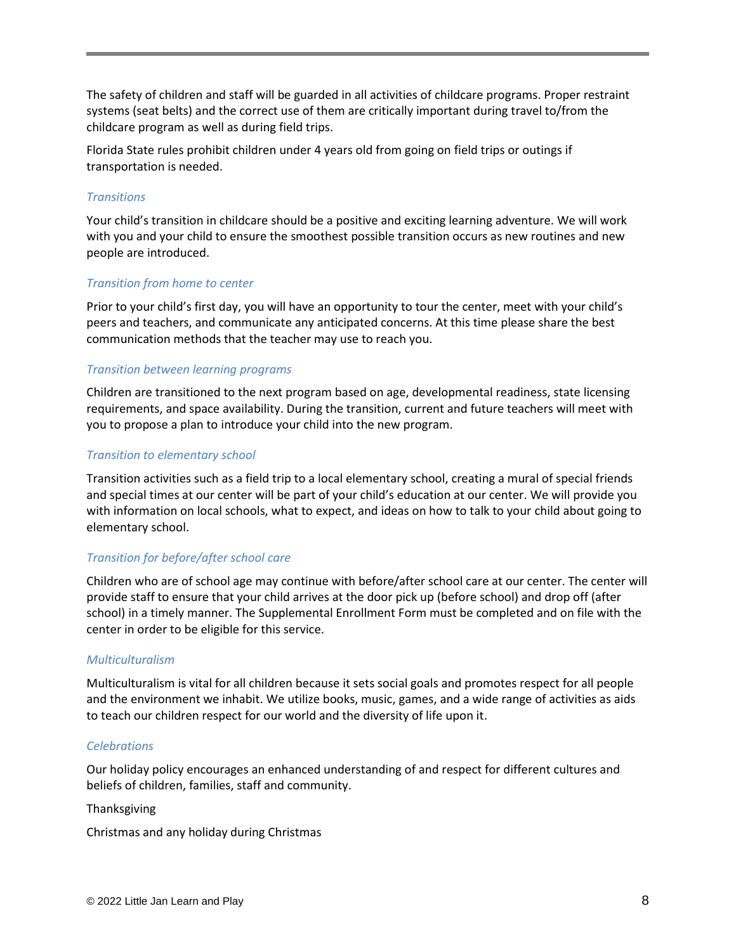The safety of children and staff will be guarded in all activities of childcare programs. Proper restraint systems (seat belts) and the correct use of them are critically important during travel to/from the childcare program as well as during field trips.

Florida State rules prohibit children under 4 years old from going on field trips or outings if transportation is needed.

#### *Transitions*

Your child's transition in childcare should be a positive and exciting learning adventure. We will work with you and your child to ensure the smoothest possible transition occurs as new routines and new people are introduced.

#### *Transition from home to center*

Prior to your child's first day, you will have an opportunity to tour the center, meet with your child's peers and teachers, and communicate any anticipated concerns. At this time please share the best communication methods that the teacher may use to reach you.

# *Transition between learning programs*

Children are transitioned to the next program based on age, developmental readiness, state licensing requirements, and space availability. During the transition, current and future teachers will meet with you to propose a plan to introduce your child into the new program.

#### *Transition to elementary school*

Transition activities such as a field trip to a local elementary school, creating a mural of special friends and special times at our center will be part of your child's education at our center. We will provide you with information on local schools, what to expect, and ideas on how to talk to your child about going to elementary school.

# *Transition for before/after school care*

Children who are of school age may continue with before/after school care at our center. The center will provide staff to ensure that your child arrives at the door pick up (before school) and drop off (after school) in a timely manner. The Supplemental Enrollment Form must be completed and on file with the center in order to be eligible for this service.

#### *Multiculturalism*

Multiculturalism is vital for all children because it sets social goals and promotes respect for all people and the environment we inhabit. We utilize books, music, games, and a wide range of activities as aids to teach our children respect for our world and the diversity of life upon it.

#### *Celebrations*

Our holiday policy encourages an enhanced understanding of and respect for different cultures and beliefs of children, families, staff and community.

#### Thanksgiving

Christmas and any holiday during Christmas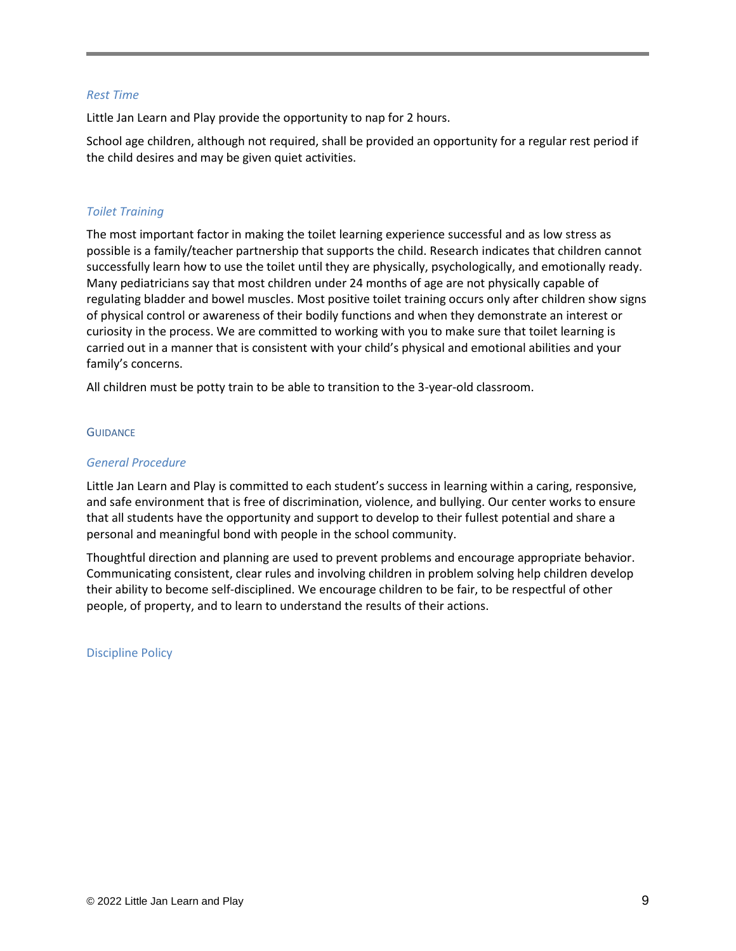#### *Rest Time*

Little Jan Learn and Play provide the opportunity to nap for 2 hours.

School age children, although not required, shall be provided an opportunity for a regular rest period if the child desires and may be given quiet activities.

# *Toilet Training*

The most important factor in making the toilet learning experience successful and as low stress as possible is a family/teacher partnership that supports the child. Research indicates that children cannot successfully learn how to use the toilet until they are physically, psychologically, and emotionally ready. Many pediatricians say that most children under 24 months of age are not physically capable of regulating bladder and bowel muscles. Most positive toilet training occurs only after children show signs of physical control or awareness of their bodily functions and when they demonstrate an interest or curiosity in the process. We are committed to working with you to make sure that toilet learning is carried out in a manner that is consistent with your child's physical and emotional abilities and your family's concerns.

All children must be potty train to be able to transition to the 3-year-old classroom.

#### **GUIDANCE**

#### *General Procedure*

Little Jan Learn and Play is committed to each student's success in learning within a caring, responsive, and safe environment that is free of discrimination, violence, and bullying. Our center works to ensure that all students have the opportunity and support to develop to their fullest potential and share a personal and meaningful bond with people in the school community.

Thoughtful direction and planning are used to prevent problems and encourage appropriate behavior. Communicating consistent, clear rules and involving children in problem solving help children develop their ability to become self-disciplined. We encourage children to be fair, to be respectful of other people, of property, and to learn to understand the results of their actions.

Discipline Policy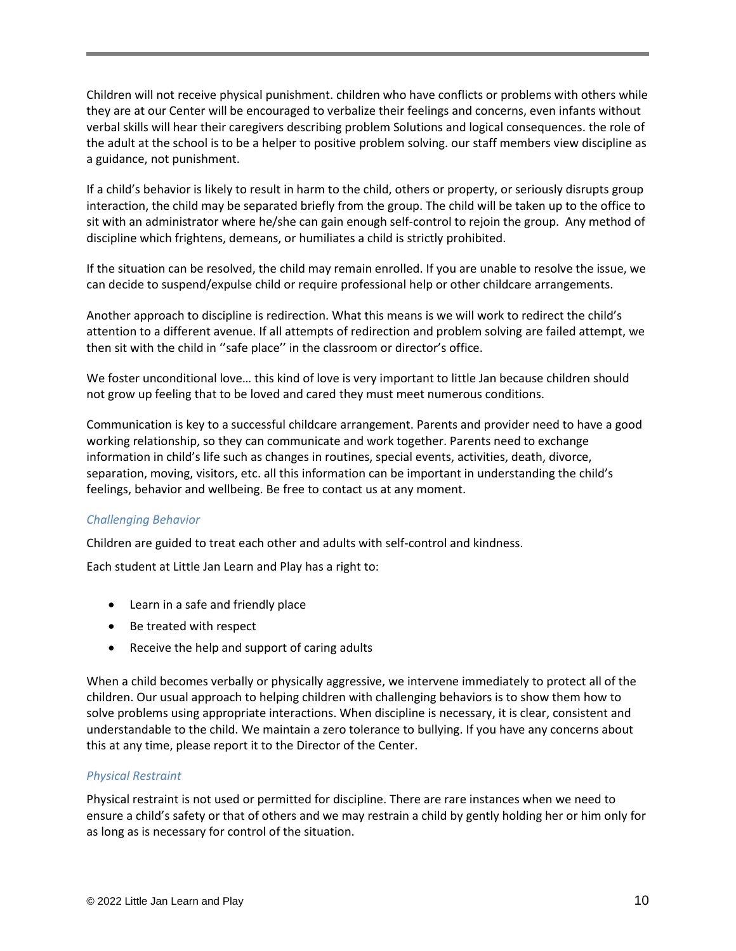Children will not receive physical punishment. children who have conflicts or problems with others while they are at our Center will be encouraged to verbalize their feelings and concerns, even infants without verbal skills will hear their caregivers describing problem Solutions and logical consequences. the role of the adult at the school is to be a helper to positive problem solving. our staff members view discipline as a guidance, not punishment.

If a child's behavior is likely to result in harm to the child, others or property, or seriously disrupts group interaction, the child may be separated briefly from the group. The child will be taken up to the office to sit with an administrator where he/she can gain enough self-control to rejoin the group. Any method of discipline which frightens, demeans, or humiliates a child is strictly prohibited.

If the situation can be resolved, the child may remain enrolled. If you are unable to resolve the issue, we can decide to suspend/expulse child or require professional help or other childcare arrangements.

Another approach to discipline is redirection. What this means is we will work to redirect the child's attention to a different avenue. If all attempts of redirection and problem solving are failed attempt, we then sit with the child in ''safe place'' in the classroom or director's office.

We foster unconditional love… this kind of love is very important to little Jan because children should not grow up feeling that to be loved and cared they must meet numerous conditions.

Communication is key to a successful childcare arrangement. Parents and provider need to have a good working relationship, so they can communicate and work together. Parents need to exchange information in child's life such as changes in routines, special events, activities, death, divorce, separation, moving, visitors, etc. all this information can be important in understanding the child's feelings, behavior and wellbeing. Be free to contact us at any moment.

# *Challenging Behavior*

Children are guided to treat each other and adults with self-control and kindness.

Each student at Little Jan Learn and Play has a right to:

- Learn in a safe and friendly place
- Be treated with respect
- Receive the help and support of caring adults

When a child becomes verbally or physically aggressive, we intervene immediately to protect all of the children. Our usual approach to helping children with challenging behaviors is to show them how to solve problems using appropriate interactions. When discipline is necessary, it is clear, consistent and understandable to the child. We maintain a zero tolerance to bullying. If you have any concerns about this at any time, please report it to the Director of the Center.

#### *Physical Restraint*

Physical restraint is not used or permitted for discipline. There are rare instances when we need to ensure a child's safety or that of others and we may restrain a child by gently holding her or him only for as long as is necessary for control of the situation.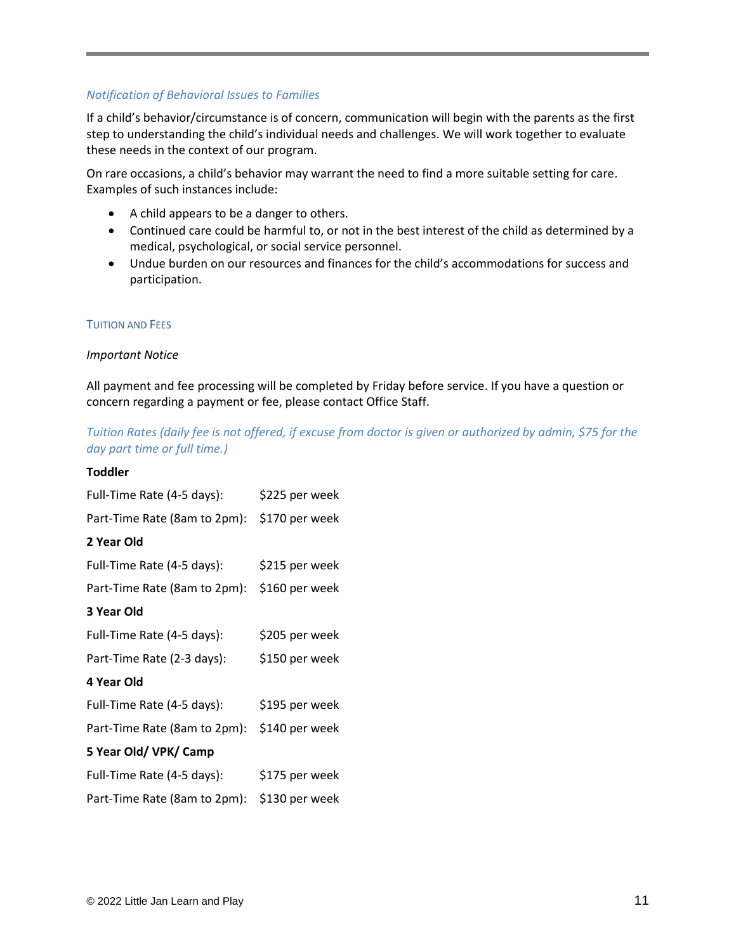# *Notification of Behavioral Issues to Families*

If a child's behavior/circumstance is of concern, communication will begin with the parents as the first step to understanding the child's individual needs and challenges. We will work together to evaluate these needs in the context of our program.

On rare occasions, a child's behavior may warrant the need to find a more suitable setting for care. Examples of such instances include:

- A child appears to be a danger to others.
- Continued care could be harmful to, or not in the best interest of the child as determined by a medical, psychological, or social service personnel.
- Undue burden on our resources and finances for the child's accommodations for success and participation.

# TUITION AND FEES

# *Important Notice*

All payment and fee processing will be completed by Friday before service. If you have a question or concern regarding a payment or fee, please contact Office Staff.

# *Tuition Rates (daily fee is not offered, if excuse from doctor is given or authorized by admin, \$75 for the*

| Luition Rates (daily fee is not offered, if excuse fr<br>day part time or full time.) |                                                |
|---------------------------------------------------------------------------------------|------------------------------------------------|
| <b>Toddler</b>                                                                        |                                                |
| Full-Time Rate (4-5 days):                                                            | \$225 per week                                 |
| Part-Time Rate (8am to 2pm):                                                          | \$170 per week                                 |
| 2 Year Old                                                                            |                                                |
| Full-Time Rate (4-5 days):                                                            | \$215 per week                                 |
| Part-Time Rate (8am to 2pm):                                                          | \$160 per week                                 |
| 3 Year Old                                                                            |                                                |
| Full-Time Rate (4-5 days):                                                            | \$205 per week                                 |
| Part-Time Rate (2-3 days):                                                            | \$150 per week                                 |
| 4 Year Old                                                                            |                                                |
| Full-Time Rate (4-5 days):                                                            | \$195 per week                                 |
| Part-Time Rate (8am to 2pm):                                                          | \$140 per week                                 |
| 5 Year Old/VPK/Camp                                                                   |                                                |
| Full-Time Rate (4-5 days):                                                            | \$175 per week                                 |
|                                                                                       | Part-Time Rate (8am to 2pm):<br>\$130 per week |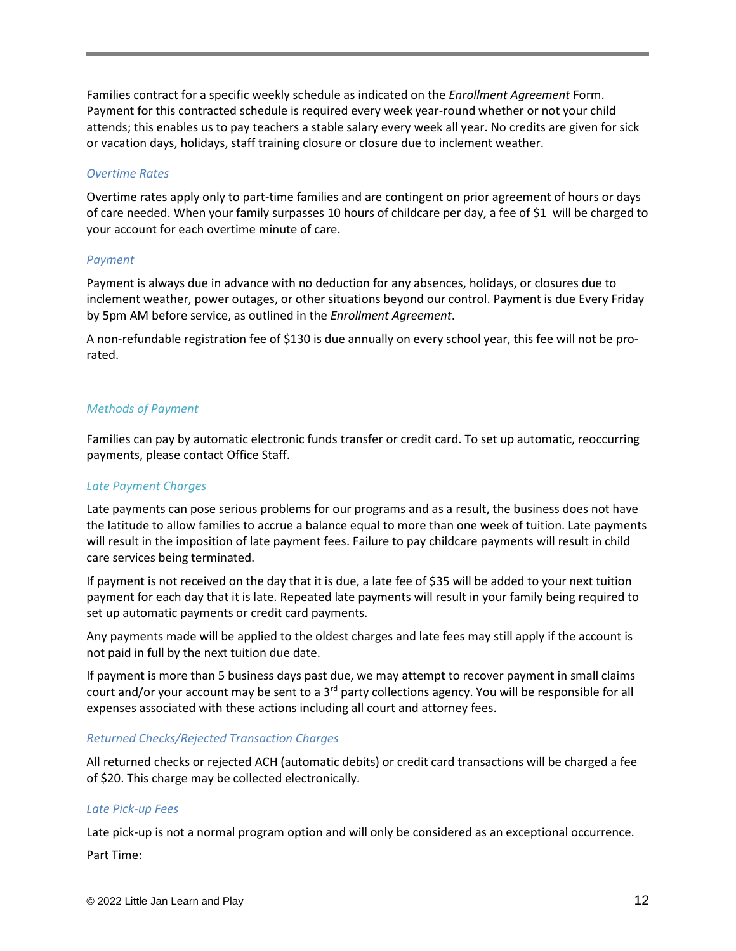Families contract for a specific weekly schedule as indicated on the *Enrollment Agreement* Form. Payment for this contracted schedule is required every week year-round whether or not your child attends; this enables us to pay teachers a stable salary every week all year. No credits are given for sick or vacation days, holidays, staff training closure or closure due to inclement weather.

#### *Overtime Rates*

Overtime rates apply only to part-time families and are contingent on prior agreement of hours or days of care needed. When your family surpasses 10 hours of childcare per day, a fee of \$1 will be charged to your account for each overtime minute of care.

#### *Payment*

Payment is always due in advance with no deduction for any absences, holidays, or closures due to inclement weather, power outages, or other situations beyond our control. Payment is due Every Friday by 5pm AM before service, as outlined in the *Enrollment Agreement*.

A non-refundable registration fee of \$130 is due annually on every school year, this fee will not be prorated.

#### *Methods of Payment*

Families can pay by automatic electronic funds transfer or credit card. To set up automatic, reoccurring payments, please contact Office Staff.

# *Late Payment Charges*

Late payments can pose serious problems for our programs and as a result, the business does not have the latitude to allow families to accrue a balance equal to more than one week of tuition. Late payments will result in the imposition of late payment fees. Failure to pay childcare payments will result in child care services being terminated.

If payment is not received on the day that it is due, a late fee of \$35 will be added to your next tuition payment for each day that it is late. Repeated late payments will result in your family being required to set up automatic payments or credit card payments.

Any payments made will be applied to the oldest charges and late fees may still apply if the account is not paid in full by the next tuition due date.

If payment is more than 5 business days past due, we may attempt to recover payment in small claims court and/or your account may be sent to a  $3<sup>rd</sup>$  party collections agency. You will be responsible for all expenses associated with these actions including all court and attorney fees.

#### *Returned Checks/Rejected Transaction Charges*

All returned checks or rejected ACH (automatic debits) or credit card transactions will be charged a fee of \$20. This charge may be collected electronically.

# *Late Pick-up Fees*

Late pick-up is not a normal program option and will only be considered as an exceptional occurrence.

Part Time: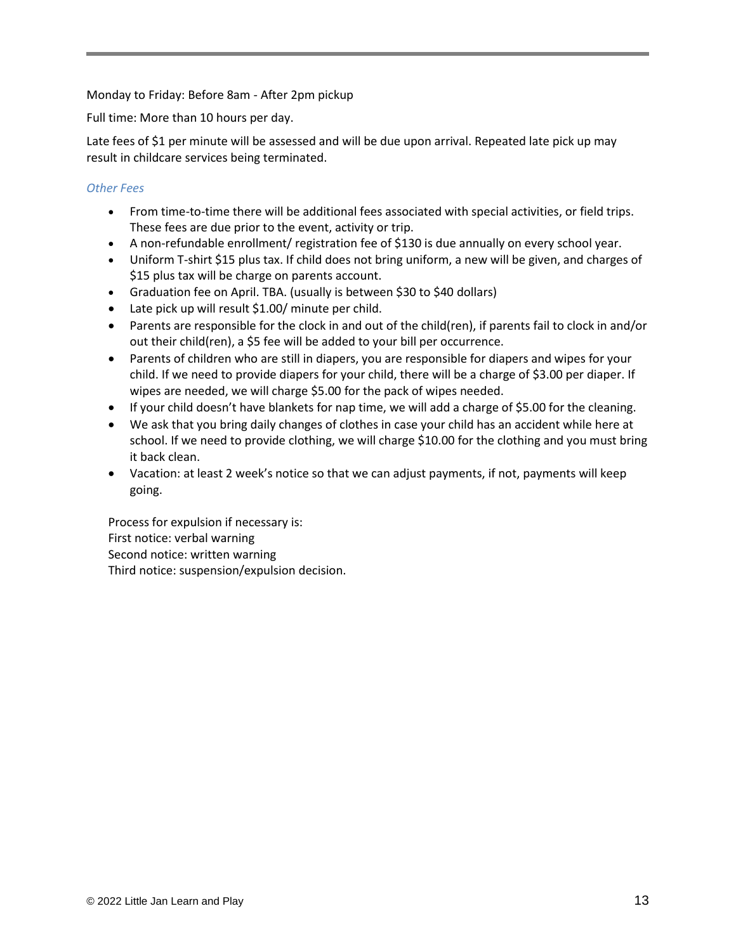Monday to Friday: Before 8am - After 2pm pickup

Full time: More than 10 hours per day.

Late fees of \$1 per minute will be assessed and will be due upon arrival. Repeated late pick up may result in childcare services being terminated.

# *Other Fees*

- From time-to-time there will be additional fees associated with special activities, or field trips. These fees are due prior to the event, activity or trip.
- A non-refundable enrollment/ registration fee of \$130 is due annually on every school year.
- Uniform T-shirt \$15 plus tax. If child does not bring uniform, a new will be given, and charges of \$15 plus tax will be charge on parents account.
- Graduation fee on April. TBA. (usually is between \$30 to \$40 dollars)
- Late pick up will result \$1.00/ minute per child.
- Parents are responsible for the clock in and out of the child(ren), if parents fail to clock in and/or out their child(ren), a \$5 fee will be added to your bill per occurrence.
- Parents of children who are still in diapers, you are responsible for diapers and wipes for your child. If we need to provide diapers for your child, there will be a charge of \$3.00 per diaper. If wipes are needed, we will charge \$5.00 for the pack of wipes needed.
- If your child doesn't have blankets for nap time, we will add a charge of \$5.00 for the cleaning.
- We ask that you bring daily changes of clothes in case your child has an accident while here at school. If we need to provide clothing, we will charge \$10.00 for the clothing and you must bring it back clean.
- Vacation: at least 2 week's notice so that we can adjust payments, if not, payments will keep going.

Process for expulsion if necessary is: First notice: verbal warning Second notice: written warning Third notice: suspension/expulsion decision.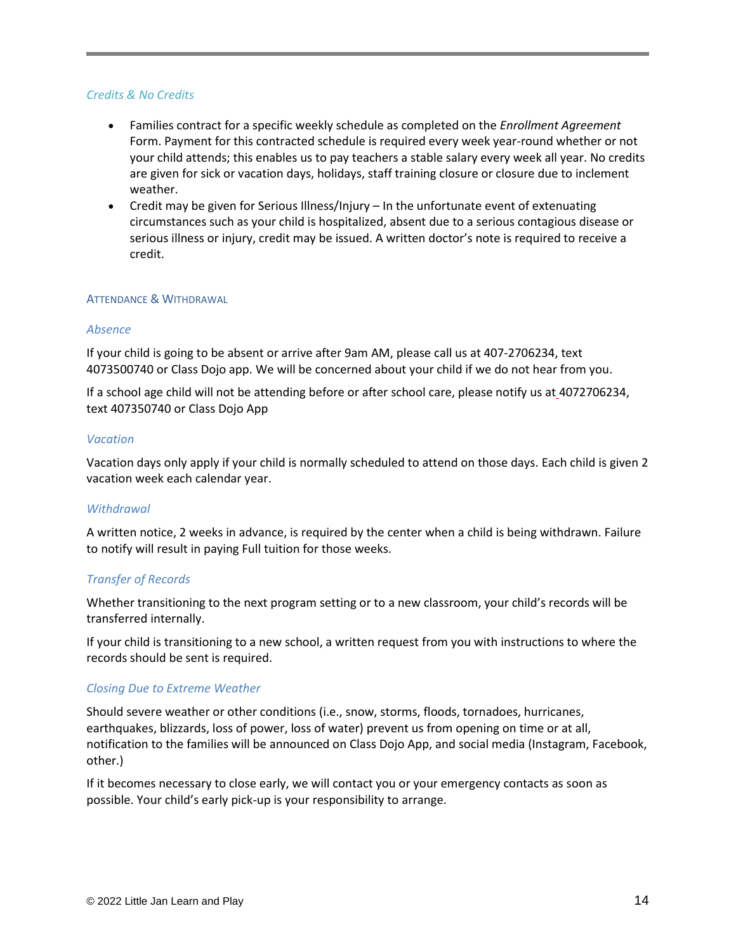#### *Credits & No Credits*

- Families contract for a specific weekly schedule as completed on the *Enrollment Agreement* Form. Payment for this contracted schedule is required every week year-round whether or not your child attends; this enables us to pay teachers a stable salary every week all year. No credits are given for sick or vacation days, holidays, staff training closure or closure due to inclement weather.
- Credit may be given for Serious Illness/Injury In the unfortunate event of extenuating circumstances such as your child is hospitalized, absent due to a serious contagious disease or serious illness or injury, credit may be issued. A written doctor's note is required to receive a credit.

#### ATTENDANCE & WITHDRAWAL

#### *Absence*

If your child is going to be absent or arrive after 9am AM, please call us at 407-2706234, text 4073500740 or Class Dojo app. We will be concerned about your child if we do not hear from you.

If a school age child will not be attending before or after school care, please notify us at 4072706234, text 407350740 or Class Dojo App

#### *Vacation*

Vacation days only apply if your child is normally scheduled to attend on those days. Each child is given 2 vacation week each calendar year.

# *Withdrawal*

A written notice, 2 weeks in advance, is required by the center when a child is being withdrawn. Failure to notify will result in paying Full tuition for those weeks.

# *Transfer of Records*

Whether transitioning to the next program setting or to a new classroom, your child's records will be transferred internally.

If your child is transitioning to a new school, a written request from you with instructions to where the records should be sent is required.

# *Closing Due to Extreme Weather*

Should severe weather or other conditions (i.e., snow, storms, floods, tornadoes, hurricanes, earthquakes, blizzards, loss of power, loss of water) prevent us from opening on time or at all, notification to the families will be announced on Class Dojo App, and social media (Instagram, Facebook, other.)

If it becomes necessary to close early, we will contact you or your emergency contacts as soon as possible. Your child's early pick-up is your responsibility to arrange.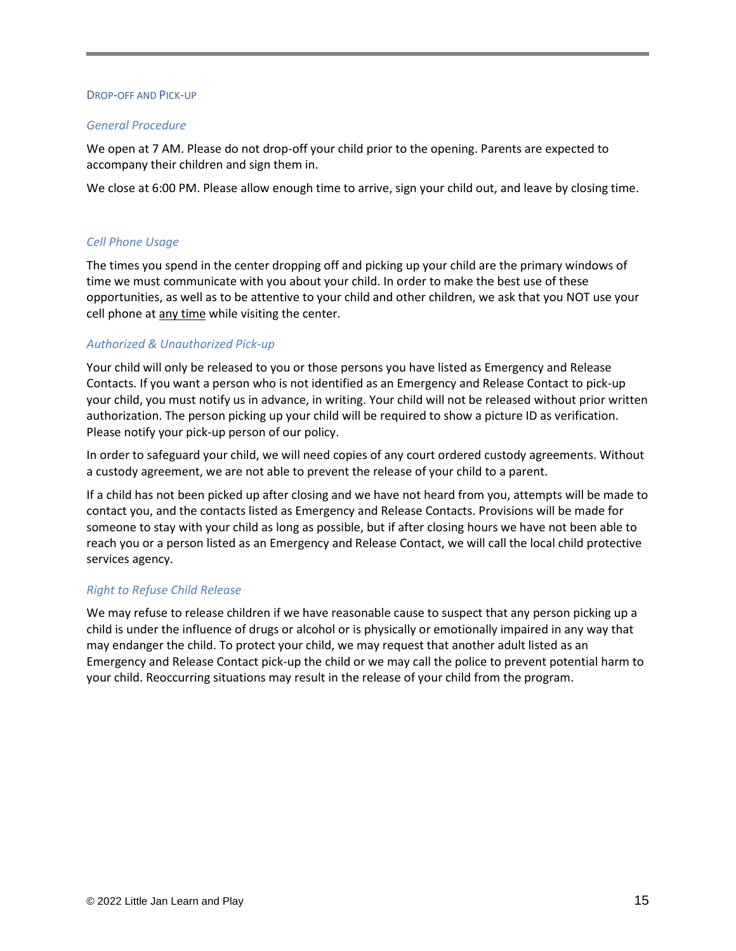#### DROP-OFF AND PICK-UP

#### *General Procedure*

We open at 7 AM. Please do not drop-off your child prior to the opening. Parents are expected to accompany their children and sign them in.

We close at 6:00 PM. Please allow enough time to arrive, sign your child out, and leave by closing time.

# *Cell Phone Usage*

The times you spend in the center dropping off and picking up your child are the primary windows of time we must communicate with you about your child. In order to make the best use of these opportunities, as well as to be attentive to your child and other children, we ask that you NOT use your cell phone at any time while visiting the center.

# *Authorized & Unauthorized Pick-up*

Your child will only be released to you or those persons you have listed as Emergency and Release Contacts. If you want a person who is not identified as an Emergency and Release Contact to pick-up your child, you must notify us in advance, in writing. Your child will not be released without prior written authorization. The person picking up your child will be required to show a picture ID as verification. Please notify your pick-up person of our policy.

In order to safeguard your child, we will need copies of any court ordered custody agreements. Without a custody agreement, we are not able to prevent the release of your child to a parent.

If a child has not been picked up after closing and we have not heard from you, attempts will be made to contact you, and the contacts listed as Emergency and Release Contacts. Provisions will be made for someone to stay with your child as long as possible, but if after closing hours we have not been able to reach you or a person listed as an Emergency and Release Contact, we will call the local child protective services agency.

# *Right to Refuse Child Release*

We may refuse to release children if we have reasonable cause to suspect that any person picking up a child is under the influence of drugs or alcohol or is physically or emotionally impaired in any way that may endanger the child. To protect your child, we may request that another adult listed as an Emergency and Release Contact pick-up the child or we may call the police to prevent potential harm to your child. Reoccurring situations may result in the release of your child from the program.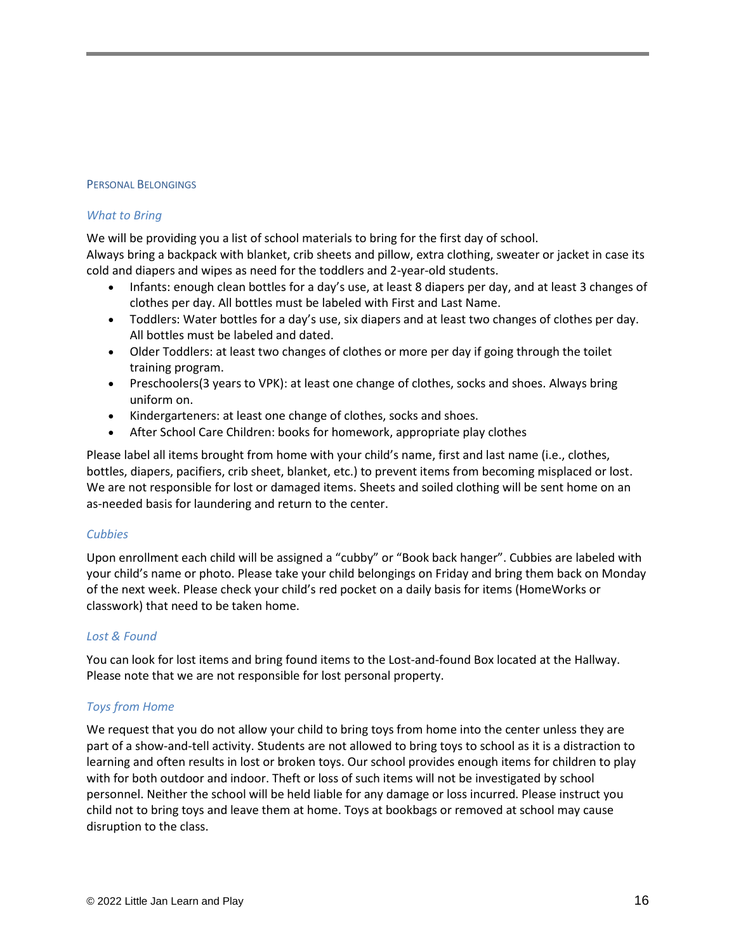#### PERSONAL BELONGINGS

#### *What to Bring*

We will be providing you a list of school materials to bring for the first day of school. Always bring a backpack with blanket, crib sheets and pillow, extra clothing, sweater or jacket in case its cold and diapers and wipes as need for the toddlers and 2-year-old students.

- Infants: enough clean bottles for a day's use, at least 8 diapers per day, and at least 3 changes of clothes per day. All bottles must be labeled with First and Last Name.
- Toddlers: Water bottles for a day's use, six diapers and at least two changes of clothes per day. All bottles must be labeled and dated.
- Older Toddlers: at least two changes of clothes or more per day if going through the toilet training program.
- Preschoolers(3 years to VPK): at least one change of clothes, socks and shoes. Always bring uniform on.
- Kindergarteners: at least one change of clothes, socks and shoes.
- After School Care Children: books for homework, appropriate play clothes

Please label all items brought from home with your child's name, first and last name (i.e., clothes, bottles, diapers, pacifiers, crib sheet, blanket, etc.) to prevent items from becoming misplaced or lost. We are not responsible for lost or damaged items. Sheets and soiled clothing will be sent home on an as-needed basis for laundering and return to the center.

# *Cubbies*

Upon enrollment each child will be assigned a "cubby" or "Book back hanger". Cubbies are labeled with your child's name or photo. Please take your child belongings on Friday and bring them back on Monday of the next week. Please check your child's red pocket on a daily basis for items (HomeWorks or classwork) that need to be taken home.

# *Lost & Found*

You can look for lost items and bring found items to the Lost-and-found Box located at the Hallway. Please note that we are not responsible for lost personal property.

# *Toys from Home*

We request that you do not allow your child to bring toys from home into the center unless they are part of a show-and-tell activity. Students are not allowed to bring toys to school as it is a distraction to learning and often results in lost or broken toys. Our school provides enough items for children to play with for both outdoor and indoor. Theft or loss of such items will not be investigated by school personnel. Neither the school will be held liable for any damage or loss incurred. Please instruct you child not to bring toys and leave them at home. Toys at bookbags or removed at school may cause disruption to the class.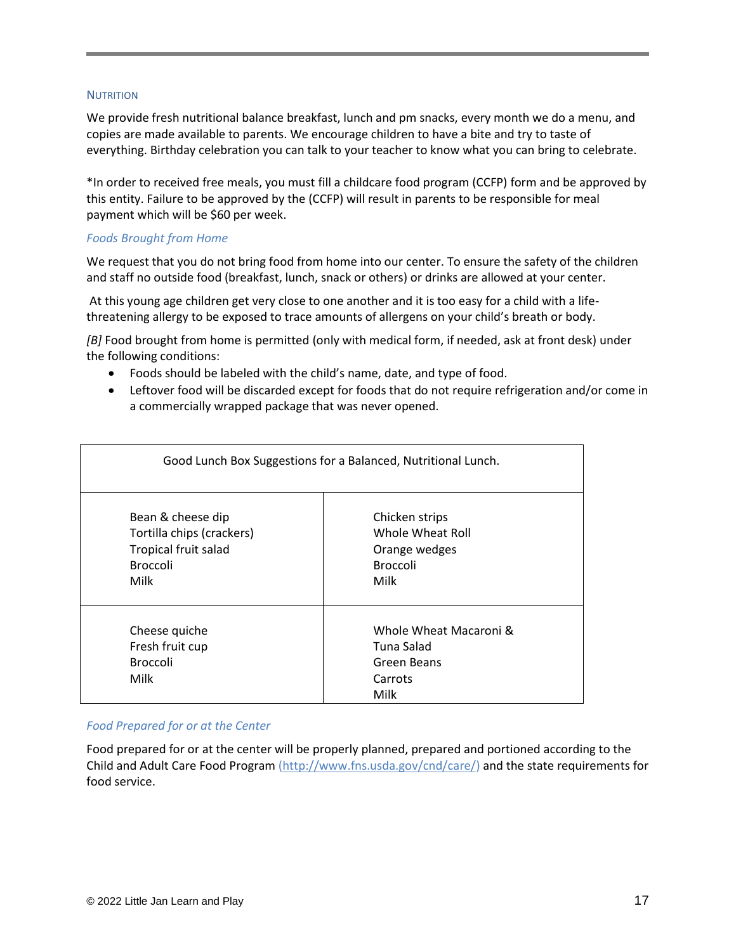#### **NUTRITION**

We provide fresh nutritional balance breakfast, lunch and pm snacks, every month we do a menu, and copies are made available to parents. We encourage children to have a bite and try to taste of everything. Birthday celebration you can talk to your teacher to know what you can bring to celebrate.

\*In order to received free meals, you must fill a childcare food program (CCFP) form and be approved by this entity. Failure to be approved by the (CCFP) will result in parents to be responsible for meal payment which will be \$60 per week.

#### *Foods Brought from Home*

We request that you do not bring food from home into our center. To ensure the safety of the children and staff no outside food (breakfast, lunch, snack or others) or drinks are allowed at your center.

At this young age children get very close to one another and it is too easy for a child with a lifethreatening allergy to be exposed to trace amounts of allergens on your child's breath or body.

*[B]* Food brought from home is permitted (only with medical form, if needed, ask at front desk) under the following conditions:

- Foods should be labeled with the child's name, date, and type of food.
- Leftover food will be discarded except for foods that do not require refrigeration and/or come in a commercially wrapped package that was never opened.

| Good Lunch Box Suggestions for a Balanced, Nutritional Lunch.                                     |                                                                                |  |
|---------------------------------------------------------------------------------------------------|--------------------------------------------------------------------------------|--|
| Bean & cheese dip<br>Tortilla chips (crackers)<br>Tropical fruit salad<br><b>Broccoli</b><br>Milk | Chicken strips<br>Whole Wheat Roll<br>Orange wedges<br><b>Broccoli</b><br>Milk |  |
| Cheese quiche<br>Fresh fruit cup<br><b>Broccoli</b><br>Milk                                       | Whole Wheat Macaroni &<br>Tuna Salad<br>Green Beans<br>Carrots<br>Milk         |  |

# *Food Prepared for or at the Center*

Food prepared for or at the center will be properly planned, prepared and portioned according to the Child and Adult Care Food Program [\(http://www.fns.usda.gov/cnd/care/\)](http://www.fns.usda.gov/cnd/care/) and the state requirements for food service.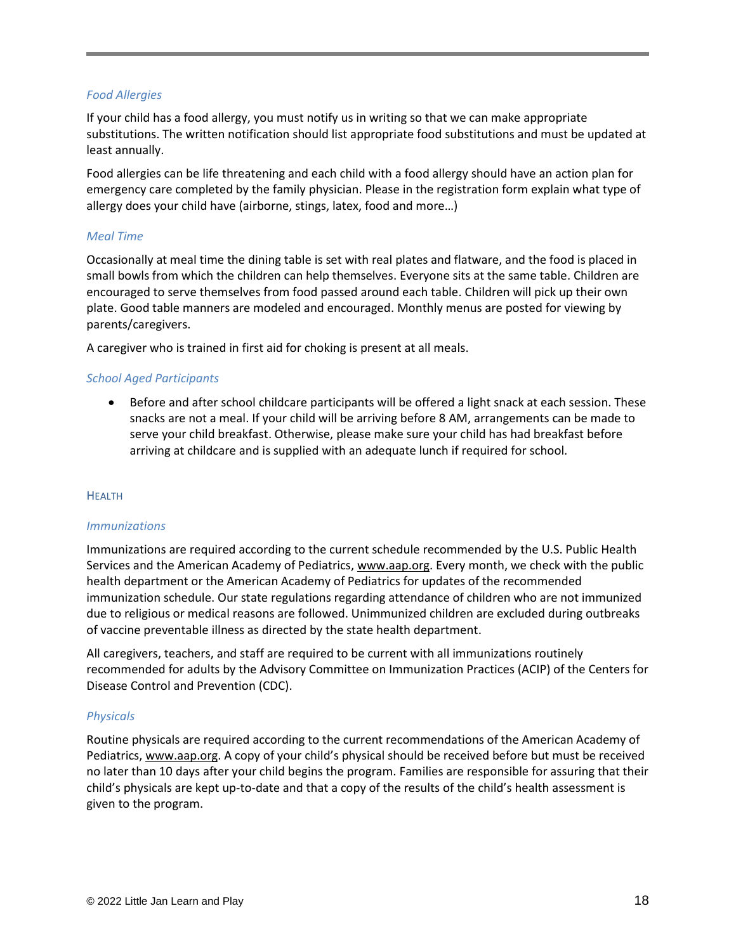# *Food Allergies*

If your child has a food allergy, you must notify us in writing so that we can make appropriate substitutions. The written notification should list appropriate food substitutions and must be updated at least annually.

Food allergies can be life threatening and each child with a food allergy should have an action plan for emergency care completed by the family physician. Please in the registration form explain what type of allergy does your child have (airborne, stings, latex, food and more…)

# *Meal Time*

Occasionally at meal time the dining table is set with real plates and flatware, and the food is placed in small bowls from which the children can help themselves. Everyone sits at the same table. Children are encouraged to serve themselves from food passed around each table. Children will pick up their own plate. Good table manners are modeled and encouraged. Monthly menus are posted for viewing by parents/caregivers.

A caregiver who is trained in first aid for choking is present at all meals.

# *School Aged Participants*

Before and after school childcare participants will be offered a light snack at each session. These snacks are not a meal. If your child will be arriving before 8 AM, arrangements can be made to serve your child breakfast. Otherwise, please make sure your child has had breakfast before arriving at childcare and is supplied with an adequate lunch if required for school.

# **HEALTH**

# *Immunizations*

Immunizations are required according to the current schedule recommended by the U.S. Public Health Services and the American Academy of Pediatrics, [www.aap.org.](http://www.aap.org/) Every month, we check with the public health department or the American Academy of Pediatrics for updates of the recommended immunization schedule. Our state regulations regarding attendance of children who are not immunized due to religious or medical reasons are followed. Unimmunized children are excluded during outbreaks of vaccine preventable illness as directed by the state health department.

All caregivers, teachers, and staff are required to be current with all immunizations routinely recommended for adults by the Advisory Committee on Immunization Practices (ACIP) of the Centers for Disease Control and Prevention (CDC).

# *Physicals*

Routine physicals are required according to the current recommendations of the American Academy of Pediatrics, [www.aap.org.](http://www.aap.org/) A copy of your child's physical should be received before but must be received no later than 10 days after your child begins the program. Families are responsible for assuring that their child's physicals are kept up-to-date and that a copy of the results of the child's health assessment is given to the program.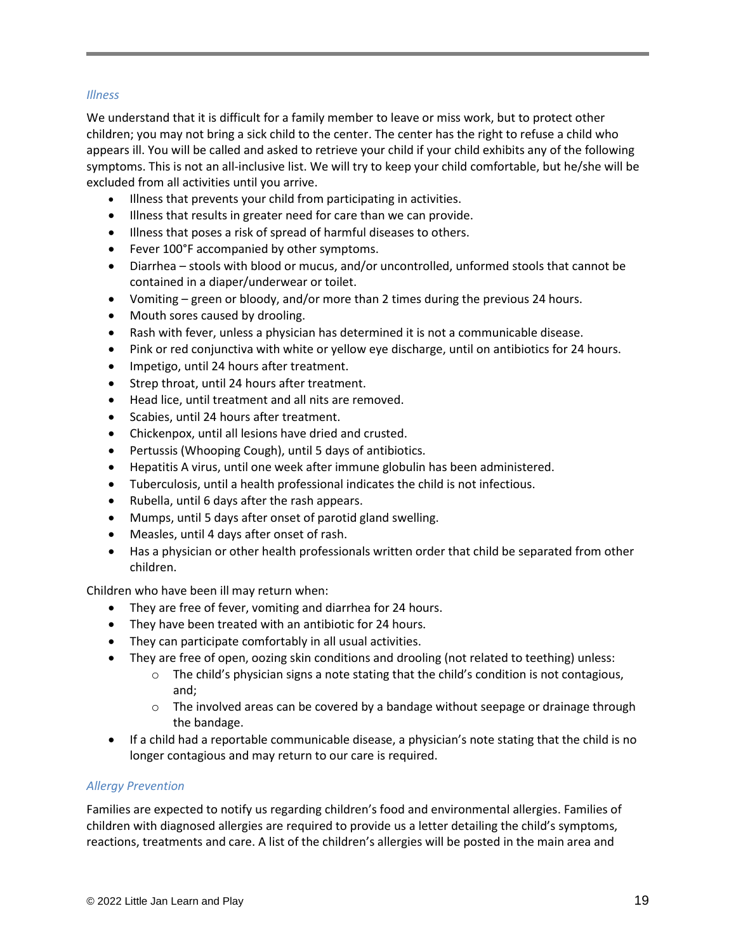# *Illness*

We understand that it is difficult for a family member to leave or miss work, but to protect other children; you may not bring a sick child to the center. The center has the right to refuse a child who appears ill. You will be called and asked to retrieve your child if your child exhibits any of the following symptoms. This is not an all-inclusive list. We will try to keep your child comfortable, but he/she will be excluded from all activities until you arrive.

- Illness that prevents your child from participating in activities.
- Illness that results in greater need for care than we can provide.
- Illness that poses a risk of spread of harmful diseases to others.
- Fever 100°F accompanied by other symptoms.
- Diarrhea stools with blood or mucus, and/or uncontrolled, unformed stools that cannot be contained in a diaper/underwear or toilet.
- Vomiting green or bloody, and/or more than 2 times during the previous 24 hours.
- Mouth sores caused by drooling.
- Rash with fever, unless a physician has determined it is not a communicable disease.
- Pink or red conjunctiva with white or yellow eye discharge, until on antibiotics for 24 hours.
- Impetigo, until 24 hours after treatment.
- Strep throat, until 24 hours after treatment.
- Head lice, until treatment and all nits are removed.
- Scabies, until 24 hours after treatment.
- Chickenpox, until all lesions have dried and crusted.
- Pertussis (Whooping Cough), until 5 days of antibiotics.
- Hepatitis A virus, until one week after immune globulin has been administered.
- Tuberculosis, until a health professional indicates the child is not infectious.
- Rubella, until 6 days after the rash appears.
- Mumps, until 5 days after onset of parotid gland swelling.
- Measles, until 4 days after onset of rash.
- Has a physician or other health professionals written order that child be separated from other children.

Children who have been ill may return when:

- They are free of fever, vomiting and diarrhea for 24 hours.
- They have been treated with an antibiotic for 24 hours.
- They can participate comfortably in all usual activities.
- They are free of open, oozing skin conditions and drooling (not related to teething) unless:
	- $\circ$  The child's physician signs a note stating that the child's condition is not contagious, and;
	- $\circ$  The involved areas can be covered by a bandage without seepage or drainage through the bandage.
- If a child had a reportable communicable disease, a physician's note stating that the child is no longer contagious and may return to our care is required.

# *Allergy Prevention*

Families are expected to notify us regarding children's food and environmental allergies. Families of children with diagnosed allergies are required to provide us a letter detailing the child's symptoms, reactions, treatments and care. A list of the children's allergies will be posted in the main area and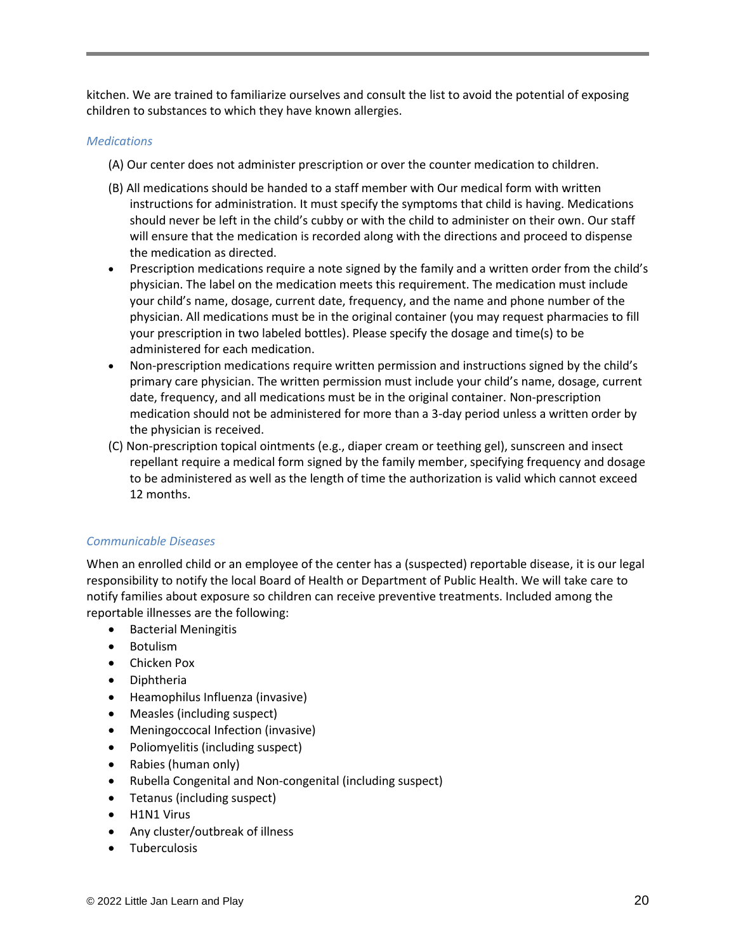kitchen. We are trained to familiarize ourselves and consult the list to avoid the potential of exposing children to substances to which they have known allergies.

#### *Medications*

- (A) Our center does not administer prescription or over the counter medication to children.
- (B) All medications should be handed to a staff member with Our medical form with written instructions for administration. It must specify the symptoms that child is having. Medications should never be left in the child's cubby or with the child to administer on their own. Our staff will ensure that the medication is recorded along with the directions and proceed to dispense the medication as directed.
- Prescription medications require a note signed by the family and a written order from the child's physician. The label on the medication meets this requirement. The medication must include your child's name, dosage, current date, frequency, and the name and phone number of the physician. All medications must be in the original container (you may request pharmacies to fill your prescription in two labeled bottles). Please specify the dosage and time(s) to be administered for each medication.
- Non-prescription medications require written permission and instructions signed by the child's primary care physician. The written permission must include your child's name, dosage, current date, frequency, and all medications must be in the original container. Non-prescription medication should not be administered for more than a 3-day period unless a written order by the physician is received.
- (C) Non-prescription topical ointments (e.g., diaper cream or teething gel), sunscreen and insect repellant require a medical form signed by the family member, specifying frequency and dosage to be administered as well as the length of time the authorization is valid which cannot exceed 12 months.

# *Communicable Diseases*

When an enrolled child or an employee of the center has a (suspected) reportable disease, it is our legal responsibility to notify the local Board of Health or Department of Public Health. We will take care to notify families about exposure so children can receive preventive treatments. Included among the reportable illnesses are the following:

- Bacterial Meningitis
- Botulism
- Chicken Pox
- Diphtheria
- Heamophilus Influenza (invasive)
- Measles (including suspect)
- Meningoccocal Infection (invasive)
- Poliomyelitis (including suspect)
- Rabies (human only)
- Rubella Congenital and Non-congenital (including suspect)
- Tetanus (including suspect)
- H1N1 Virus
- Any cluster/outbreak of illness
- Tuberculosis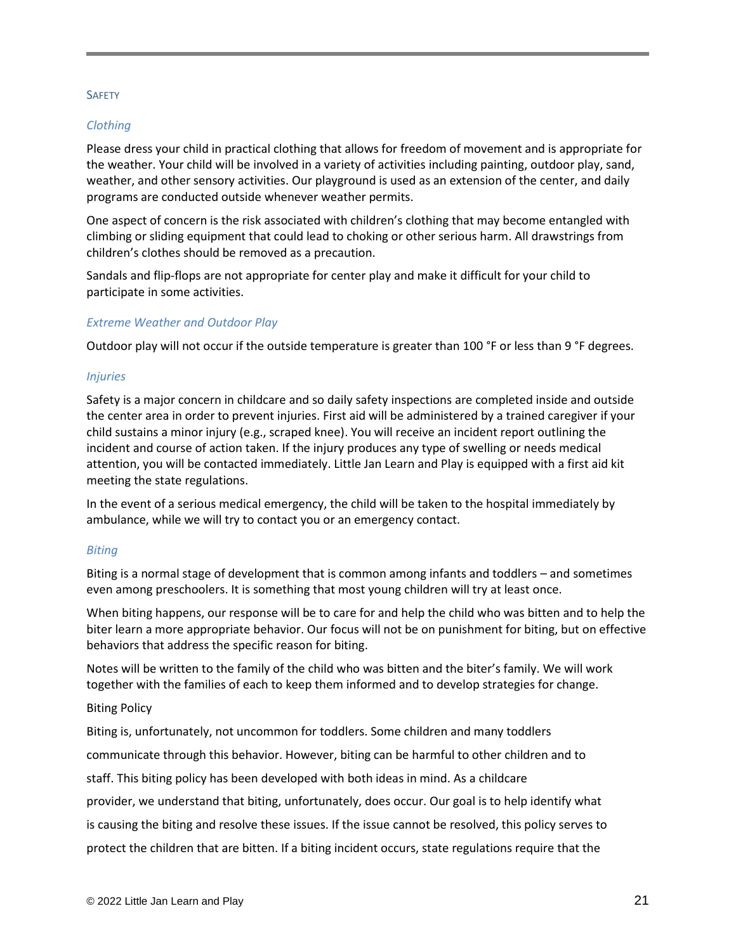#### **SAFETY**

#### *Clothing*

Please dress your child in practical clothing that allows for freedom of movement and is appropriate for the weather. Your child will be involved in a variety of activities including painting, outdoor play, sand, weather, and other sensory activities. Our playground is used as an extension of the center, and daily programs are conducted outside whenever weather permits.

One aspect of concern is the risk associated with children's clothing that may become entangled with climbing or sliding equipment that could lead to choking or other serious harm. All drawstrings from children's clothes should be removed as a precaution.

Sandals and flip-flops are not appropriate for center play and make it difficult for your child to participate in some activities.

#### *Extreme Weather and Outdoor Play*

Outdoor play will not occur if the outside temperature is greater than 100 °F or less than 9 °F degrees.

#### *Injuries*

Safety is a major concern in childcare and so daily safety inspections are completed inside and outside the center area in order to prevent injuries. First aid will be administered by a trained caregiver if your child sustains a minor injury (e.g., scraped knee). You will receive an incident report outlining the incident and course of action taken. If the injury produces any type of swelling or needs medical attention, you will be contacted immediately. Little Jan Learn and Play is equipped with a first aid kit meeting the state regulations.

In the event of a serious medical emergency, the child will be taken to the hospital immediately by ambulance, while we will try to contact you or an emergency contact.

#### *Biting*

Biting is a normal stage of development that is common among infants and toddlers – and sometimes even among preschoolers. It is something that most young children will try at least once.

When biting happens, our response will be to care for and help the child who was bitten and to help the biter learn a more appropriate behavior. Our focus will not be on punishment for biting, but on effective behaviors that address the specific reason for biting.

Notes will be written to the family of the child who was bitten and the biter's family. We will work together with the families of each to keep them informed and to develop strategies for change.

#### Biting Policy

Biting is, unfortunately, not uncommon for toddlers. Some children and many toddlers

communicate through this behavior. However, biting can be harmful to other children and to

staff. This biting policy has been developed with both ideas in mind. As a childcare

provider, we understand that biting, unfortunately, does occur. Our goal is to help identify what

is causing the biting and resolve these issues. If the issue cannot be resolved, this policy serves to

protect the children that are bitten. If a biting incident occurs, state regulations require that the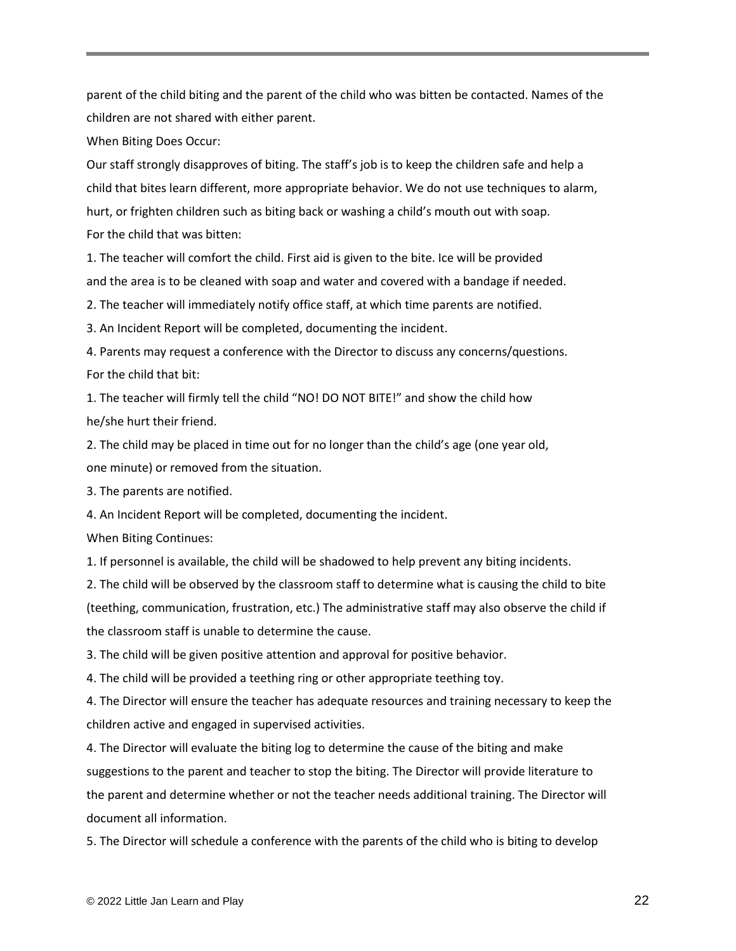parent of the child biting and the parent of the child who was bitten be contacted. Names of the children are not shared with either parent.

When Biting Does Occur:

Our staff strongly disapproves of biting. The staff's job is to keep the children safe and help a child that bites learn different, more appropriate behavior. We do not use techniques to alarm, hurt, or frighten children such as biting back or washing a child's mouth out with soap. For the child that was bitten:

1. The teacher will comfort the child. First aid is given to the bite. Ice will be provided and the area is to be cleaned with soap and water and covered with a bandage if needed.

2. The teacher will immediately notify office staff, at which time parents are notified.

3. An Incident Report will be completed, documenting the incident.

4. Parents may request a conference with the Director to discuss any concerns/questions. For the child that bit:

1. The teacher will firmly tell the child "NO! DO NOT BITE!" and show the child how he/she hurt their friend.

2. The child may be placed in time out for no longer than the child's age (one year old, one minute) or removed from the situation.

3. The parents are notified.

4. An Incident Report will be completed, documenting the incident.

When Biting Continues:

1. If personnel is available, the child will be shadowed to help prevent any biting incidents.

2. The child will be observed by the classroom staff to determine what is causing the child to bite (teething, communication, frustration, etc.) The administrative staff may also observe the child if the classroom staff is unable to determine the cause.

3. The child will be given positive attention and approval for positive behavior.

4. The child will be provided a teething ring or other appropriate teething toy.

4. The Director will ensure the teacher has adequate resources and training necessary to keep the children active and engaged in supervised activities.

4. The Director will evaluate the biting log to determine the cause of the biting and make suggestions to the parent and teacher to stop the biting. The Director will provide literature to the parent and determine whether or not the teacher needs additional training. The Director will document all information.

5. The Director will schedule a conference with the parents of the child who is biting to develop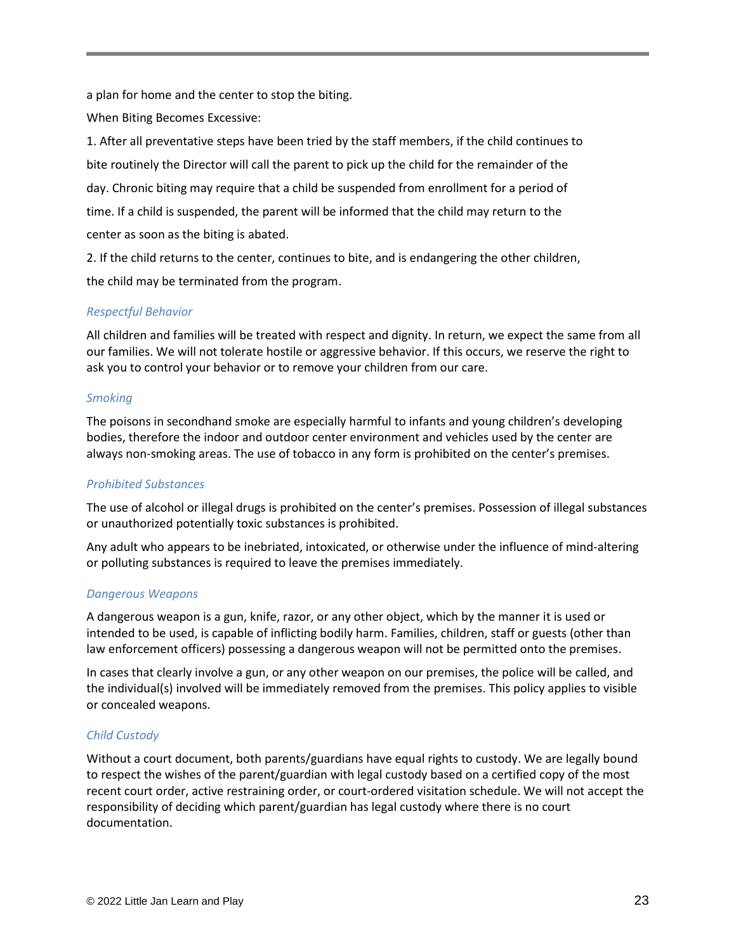a plan for home and the center to stop the biting.

When Biting Becomes Excessive:

1. After all preventative steps have been tried by the staff members, if the child continues to bite routinely the Director will call the parent to pick up the child for the remainder of the day. Chronic biting may require that a child be suspended from enrollment for a period of time. If a child is suspended, the parent will be informed that the child may return to the center as soon as the biting is abated.

2. If the child returns to the center, continues to bite, and is endangering the other children, the child may be terminated from the program.

# *Respectful Behavior*

All children and families will be treated with respect and dignity. In return, we expect the same from all our families. We will not tolerate hostile or aggressive behavior. If this occurs, we reserve the right to ask you to control your behavior or to remove your children from our care.

# *Smoking*

The poisons in secondhand smoke are especially harmful to infants and young children's developing bodies, therefore the indoor and outdoor center environment and vehicles used by the center are always non-smoking areas. The use of tobacco in any form is prohibited on the center's premises.

# *Prohibited Substances*

The use of alcohol or illegal drugs is prohibited on the center's premises. Possession of illegal substances or unauthorized potentially toxic substances is prohibited.

Any adult who appears to be inebriated, intoxicated, or otherwise under the influence of mind-altering or polluting substances is required to leave the premises immediately.

# *Dangerous Weapons*

A dangerous weapon is a gun, knife, razor, or any other object, which by the manner it is used or intended to be used, is capable of inflicting bodily harm. Families, children, staff or guests (other than law enforcement officers) possessing a dangerous weapon will not be permitted onto the premises.

In cases that clearly involve a gun, or any other weapon on our premises, the police will be called, and the individual(s) involved will be immediately removed from the premises. This policy applies to visible or concealed weapons.

# *Child Custody*

Without a court document, both parents/guardians have equal rights to custody. We are legally bound to respect the wishes of the parent/guardian with legal custody based on a certified copy of the most recent court order, active restraining order, or court-ordered visitation schedule. We will not accept the responsibility of deciding which parent/guardian has legal custody where there is no court documentation.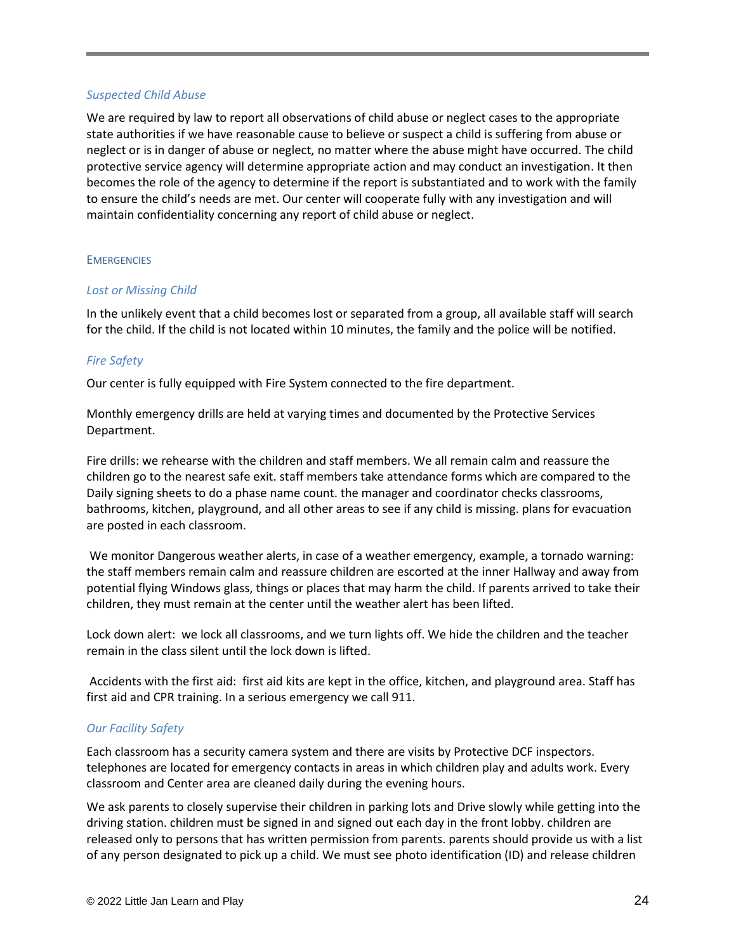#### *Suspected Child Abuse*

We are required by law to report all observations of child abuse or neglect cases to the appropriate state authorities if we have reasonable cause to believe or suspect a child is suffering from abuse or neglect or is in danger of abuse or neglect, no matter where the abuse might have occurred. The child protective service agency will determine appropriate action and may conduct an investigation. It then becomes the role of the agency to determine if the report is substantiated and to work with the family to ensure the child's needs are met. Our center will cooperate fully with any investigation and will maintain confidentiality concerning any report of child abuse or neglect.

#### **EMERGENCIES**

# *Lost or Missing Child*

In the unlikely event that a child becomes lost or separated from a group, all available staff will search for the child. If the child is not located within 10 minutes, the family and the police will be notified.

# *Fire Safety*

Our center is fully equipped with Fire System connected to the fire department.

Monthly emergency drills are held at varying times and documented by the Protective Services Department.

Fire drills: we rehearse with the children and staff members. We all remain calm and reassure the children go to the nearest safe exit. staff members take attendance forms which are compared to the Daily signing sheets to do a phase name count. the manager and coordinator checks classrooms, bathrooms, kitchen, playground, and all other areas to see if any child is missing. plans for evacuation are posted in each classroom.

We monitor Dangerous weather alerts, in case of a weather emergency, example, a tornado warning: the staff members remain calm and reassure children are escorted at the inner Hallway and away from potential flying Windows glass, things or places that may harm the child. If parents arrived to take their children, they must remain at the center until the weather alert has been lifted.

Lock down alert: we lock all classrooms, and we turn lights off. We hide the children and the teacher remain in the class silent until the lock down is lifted.

Accidents with the first aid: first aid kits are kept in the office, kitchen, and playground area. Staff has first aid and CPR training. In a serious emergency we call 911.

# *Our Facility Safety*

Each classroom has a security camera system and there are visits by Protective DCF inspectors. telephones are located for emergency contacts in areas in which children play and adults work. Every classroom and Center area are cleaned daily during the evening hours.

We ask parents to closely supervise their children in parking lots and Drive slowly while getting into the driving station. children must be signed in and signed out each day in the front lobby. children are released only to persons that has written permission from parents. parents should provide us with a list of any person designated to pick up a child. We must see photo identification (ID) and release children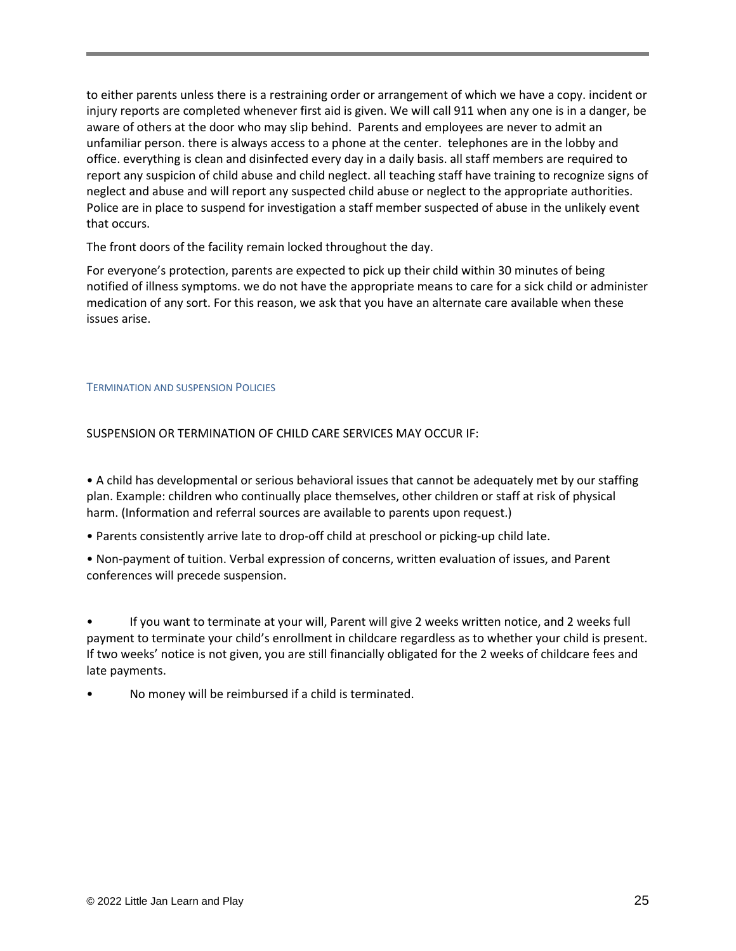to either parents unless there is a restraining order or arrangement of which we have a copy. incident or injury reports are completed whenever first aid is given. We will call 911 when any one is in a danger, be aware of others at the door who may slip behind. Parents and employees are never to admit an unfamiliar person. there is always access to a phone at the center. telephones are in the lobby and office. everything is clean and disinfected every day in a daily basis. all staff members are required to report any suspicion of child abuse and child neglect. all teaching staff have training to recognize signs of neglect and abuse and will report any suspected child abuse or neglect to the appropriate authorities. Police are in place to suspend for investigation a staff member suspected of abuse in the unlikely event that occurs.

The front doors of the facility remain locked throughout the day.

For everyone's protection, parents are expected to pick up their child within 30 minutes of being notified of illness symptoms. we do not have the appropriate means to care for a sick child or administer medication of any sort. For this reason, we ask that you have an alternate care available when these issues arise.

#### TERMINATION AND SUSPENSION POLICIES

SUSPENSION OR TERMINATION OF CHILD CARE SERVICES MAY OCCUR IF:

• A child has developmental or serious behavioral issues that cannot be adequately met by our staffing plan. Example: children who continually place themselves, other children or staff at risk of physical harm. (Information and referral sources are available to parents upon request.)

• Parents consistently arrive late to drop-off child at preschool or picking-up child late.

• Non-payment of tuition. Verbal expression of concerns, written evaluation of issues, and Parent conferences will precede suspension.

• If you want to terminate at your will, Parent will give 2 weeks written notice, and 2 weeks full payment to terminate your child's enrollment in childcare regardless as to whether your child is present. If two weeks' notice is not given, you are still financially obligated for the 2 weeks of childcare fees and late payments.

• No money will be reimbursed if a child is terminated.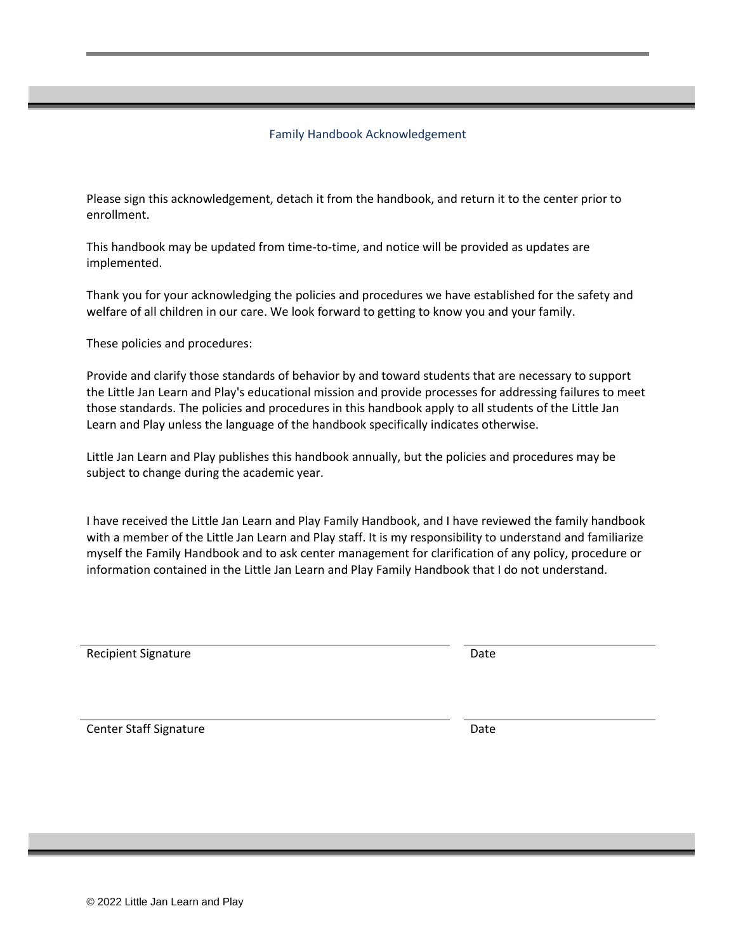#### Family Handbook Acknowledgement

Please sign this acknowledgement, detach it from the handbook, and return it to the center prior to enrollment.

This handbook may be updated from time-to-time, and notice will be provided as updates are implemented.

Thank you for your acknowledging the policies and procedures we have established for the safety and welfare of all children in our care. We look forward to getting to know you and your family.

These policies and procedures:

Provide and clarify those standards of behavior by and toward students that are necessary to support the Little Jan Learn and Play's educational mission and provide processes for addressing failures to meet those standards. The policies and procedures in this handbook apply to all students of the Little Jan Learn and Play unless the language of the handbook specifically indicates otherwise.

Little Jan Learn and Play publishes this handbook annually, but the policies and procedures may be subject to change during the academic year.

I have received the Little Jan Learn and Play Family Handbook, and I have reviewed the family handbook with a member of the Little Jan Learn and Play staff. It is my responsibility to understand and familiarize myself the Family Handbook and to ask center management for clarification of any policy, procedure or information contained in the Little Jan Learn and Play Family Handbook that I do not understand.

Recipient Signature **Date** 

Center Staff Signature Date Date